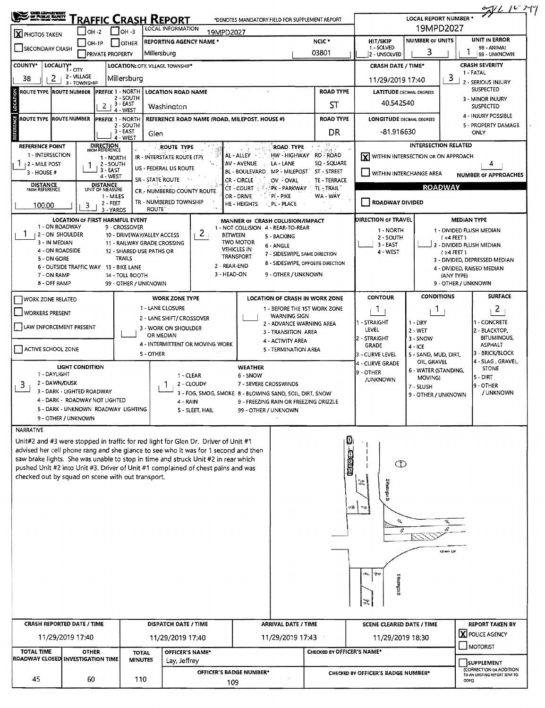| <b>CROOL LEASED FOR</b>                                                                                                                                                 |                                                            |                                    |                                         |                                                           |                         |                                                         |                                                                       |                               |                                        |                                     |                                            | 2761279                                                     |
|-------------------------------------------------------------------------------------------------------------------------------------------------------------------------|------------------------------------------------------------|------------------------------------|-----------------------------------------|-----------------------------------------------------------|-------------------------|---------------------------------------------------------|-----------------------------------------------------------------------|-------------------------------|----------------------------------------|-------------------------------------|--------------------------------------------|-------------------------------------------------------------|
| OF PURJE BARTY                                                                                                                                                          |                                                            |                                    |                                         | RAFFIC CRASH REPORT                                       |                         | *DENOTES MANDATORY FIELD FOR SUPPLEMENT REPORT          |                                                                       |                               |                                        | <b>LOCAL REPORT NUMBER *</b>        | 19MPD2027                                  |                                                             |
| LOCAL INFORMATION<br>I Гон -з<br>$IOH -2$<br>19MPD2027<br><b>X</b> PHOTOS TAKEN<br><b>REPORTING AGENCY NAME *</b>                                                       |                                                            |                                    |                                         |                                                           |                         |                                                         |                                                                       |                               |                                        | UNIT IN ERROR                       |                                            |                                                             |
| SECONDARY CRASH                                                                                                                                                         | $IOH-IP$                                                   | <b>PRIVATE PROPERTY</b>            | <b>OTHER</b>                            | Millersburg                                               |                         |                                                         |                                                                       | NCIC <sup>*</sup><br>03801    | HIT/SKIP<br>1 - SOLVED<br>2 - UNSOLVED | <b>NUMBER OF UNITS</b><br>3         |                                            | 98 - ANIMAL<br>99 - UNKNOWN                                 |
| <b>COUNTY*</b>                                                                                                                                                          | LOCALITY* CITY                                             |                                    |                                         | LOCATION: CITY. VILLAGE. TOWNSHIP*                        |                         |                                                         |                                                                       |                               | <b>CRASH DATE / TIME*</b>              |                                     |                                            | <b>CRASH SEVERITY</b>                                       |
| 38<br>2                                                                                                                                                                 | 2 - VILLAGE<br>3 - TOWNSHIP                                |                                    | Millersburg                             |                                                           |                         |                                                         |                                                                       |                               | 11/29/2019 17:40                       |                                     | з                                          | 1 - FATAL<br>2 - SERIOUS INJURY                             |
| ROUTE TYPE  ROUTE NUMBER  PREFIX 1 - NORTH<br><b>LOCATION ROAD NAME</b><br>2 - SOUTH                                                                                    |                                                            |                                    |                                         |                                                           |                         |                                                         |                                                                       | <b>ROAD TYPE</b>              | <b>LATITUDE DECIMAL DEGREES</b>        |                                     |                                            | <b>SUSPECTED</b><br>3 - MINOR INJURY                        |
|                                                                                                                                                                         |                                                            | $2+3-EAST$                         | 4 - WEST                                | Washington                                                |                         |                                                         |                                                                       | ST                            | 40.542540                              |                                     |                                            | <b>SUSPECTED</b>                                            |
| ROUTE TYPE ROUTE NUMBER<br><b>PREFIX 1 - NORTH</b><br>REFERENCE ROAD NAME (ROAD, MILEPOST, HOUSE #)<br>2 - SOUTH                                                        |                                                            |                                    |                                         |                                                           |                         | <b>ROAD TYPE</b>                                        |                                                                       |                               | <b>LONGITUDE DECIMAL DEGREES</b>       |                                     | 4 - INJURY POSSIBLE<br>5 - PROPERTY DAMAGE |                                                             |
|                                                                                                                                                                         |                                                            |                                    | 3 - EAST<br>4 - WEST                    | Glen                                                      |                         |                                                         |                                                                       | DR                            | $-81.916630$                           |                                     |                                            | ONLY                                                        |
| <b>REFERENCE POINT</b><br>1 - INTERSECTION                                                                                                                              |                                                            | DIRECTION<br>FROM REFERENCE        |                                         | ROUTE TYPE                                                |                         | AL-ALLEY                                                | <b>ROAD TYPE</b><br>HW - HIGHWAY RD - ROAD                            | 포도                            |                                        | <b>INTERSECTION RELATED</b>         |                                            |                                                             |
| 1 12 - MILE POST                                                                                                                                                        | 1                                                          | 1 - NORTH<br>2 - SOUTH             |                                         | IR - INTERSTATE ROUTE (TP)                                |                         | AV - AVENUE                                             | LA - LANE                                                             | SQ - SQUARE                   | X WITHIN INTERSECTION OR ON APPROACH   |                                     |                                            | 4                                                           |
| 3 - HOUSE #                                                                                                                                                             |                                                            | 3 - EAST<br>4 - WEST               |                                         | US - FEDERAL US ROUTE<br>SR - STATE ROUTE                 | -14                     | BL - BOULEVARD.                                         | MP - MILEPOST                                                         | ST - STREET                   | WITHIN INTERCHANGE AREA                |                                     |                                            | <b>NUMBER OF APPROACHES</b>                                 |
| <b>DISTANCE</b><br><b>FROM REFERENCE</b>                                                                                                                                |                                                            | <b>DISTANCE</b><br>UNIT OF MEASURE |                                         | CR - NUMBERED COUNTY ROUTE                                |                         | CR - CIRCLE<br>CT - COURT                               | OV - OVAL<br><b>SECPK - PARKWAY</b>                                   | TE - TERRACE<br>TL - TRAIL    |                                        |                                     | <b>ROADWAY</b>                             |                                                             |
| 100.00                                                                                                                                                                  | 3                                                          | 1 MILES<br>2 - FEET                |                                         | TR - NUMBERED TOWNSHIP                                    |                         | DR - DRIVE<br>HE - HEIGHTS                              | °PI - PIKE<br><b>PL - PLACE</b>                                       | WA - WAY                      | <b>ROADWAY DIVIDED</b>                 |                                     |                                            |                                                             |
|                                                                                                                                                                         | <b>LOCATION OF FIRST HARMFUL EVENT</b>                     | 3 - YARDS                          |                                         | ROUTE <sup>®</sup>                                        |                         | MANNER OF CRASH COLLISION/IMPACT                        |                                                                       |                               | <b>DIRECTION OF TRAVEL</b>             |                                     |                                            | <b>MEDIAN TYPE</b>                                          |
| 1 - ON ROADWAY<br>12 - ON SHOULDER                                                                                                                                      |                                                            |                                    | 9 - CROSSOVER                           |                                                           | 2 <sub>1</sub>          | 1 - NOT COLLISION 4 - REAR-TO-REAR<br><b>BETWEEN</b>    |                                                                       |                               | 1 - NORTH                              |                                     |                                            | 1 - DIVIDED FLUSH MEDIAN                                    |
| 3 - IN MEDIAN                                                                                                                                                           |                                                            |                                    |                                         | 10 - DRIVEWAY/ALLEY ACCESS<br>11 - RAILWAY GRADE CROSSING |                         | <b>TWO MOTOR</b>                                        | 5 - BACKING<br>6 - ANGLE                                              |                               | 2 - SOUTH<br>3 - EAST                  |                                     | $($ <4 FEET $)$                            | 2 - DIVIDED FLUSH MEDIAN                                    |
| 4 - ON ROADSIDE<br>5 - ON GORE                                                                                                                                          |                                                            |                                    | <b>TRAILS</b>                           | 12 - SHARED USE PATHS OR                                  |                         | <b>VEHICLES IN</b><br>TRANSPORT                         | 7 - SIDESWIPE, SAME DIRECTION                                         |                               | 4 - WEST                               |                                     | $(24$ FEET)                                |                                                             |
|                                                                                                                                                                         | 6 - OUTSIDE TRAFFIC WAY 13 - BIKE LANE                     |                                    |                                         |                                                           |                         | 2 - REAR-END                                            | 8 - SIDESWIPE, OPPOSITE DIRECTION                                     |                               |                                        |                                     |                                            | 3 - DIVIDED, DEPRESSED MEDIAN<br>4 - DIVIDED, RAISED MEDIAN |
| 7 - ON RAMP<br>8 - OFF RAMP                                                                                                                                             |                                                            |                                    | 14 - TOLL BOOTH<br>99 - OTHER / UNKNOWN |                                                           |                         | 3 - HEAD-ON                                             | 9 - OTHER / UNKNOWN                                                   |                               |                                        |                                     | (ANY TYPE)<br>9 - OTHER / UNKNOWN          |                                                             |
|                                                                                                                                                                         |                                                            |                                    |                                         |                                                           |                         |                                                         |                                                                       |                               | <b>CONTOUR</b>                         | <b>CONDITIONS</b>                   |                                            | <b>SURFACE</b>                                              |
| WORK ZONE RELATED                                                                                                                                                       |                                                            |                                    |                                         | <b>WORK ZONE TYPE</b><br>1 - LANE CLOSURE                 |                         |                                                         | <b>LOCATION OF CRASH IN WORK ZONE</b><br>1 - BEFORE THE 1ST WORK ZONE |                               | T                                      | Т.                                  |                                            | $\overline{z}$                                              |
| <b>WORKERS PRESENT</b>                                                                                                                                                  |                                                            |                                    |                                         | 2 - LANE SHIFT/ CROSSOVER                                 |                         |                                                         | <b>WARNING SIGN</b>                                                   |                               | - STRAIGHT                             |                                     |                                            | 1 - CONCRETE                                                |
| LAW ENFORCEMENT PRESENT                                                                                                                                                 |                                                            |                                    |                                         | 3 - WORK ON SHOULDER                                      |                         |                                                         | 2 - ADVANCE WARNING AREA<br>3 - TRANSITION AREA                       |                               | LEVEL                                  | $1 - DRY$<br>2 - WET                |                                            | 2 - BLACKTOP,                                               |
|                                                                                                                                                                         |                                                            |                                    |                                         | OR MEDIAN<br>4 - INTERMITTENT OR MOVING WORK              |                         |                                                         | 4 - ACTIVITY AREA                                                     |                               | 2 - STRAIGHT<br><b>GRADE</b>           | 3 - SNOW<br>$4 - ICE$               |                                            | <b>BITUMINOUS,</b><br><b>ASPHALT</b>                        |
| ACTIVE SCHOOL ZONE                                                                                                                                                      |                                                            |                                    |                                         | 5 - OTHER                                                 |                         |                                                         | 5 - TERMINATION AREA                                                  |                               | 3 - CURVE LEVEL                        | 5 - SAND, MUD, DIRT,                |                                            | 13 - BRICK/BLOCK                                            |
|                                                                                                                                                                         | LIGHT CONDITION                                            |                                    |                                         |                                                           |                         | <b>WEATHER</b>                                          |                                                                       |                               | 4 - CURVE GRADE                        | OIL, GRAVEL<br>6 - WATER (STANDING, |                                            | 4 - SLAG , GRAVEL,<br><b>STONE</b>                          |
| 1 - DAYLIGHT<br>2 - DAWN/DUSK                                                                                                                                           |                                                            |                                    |                                         |                                                           | 1 - CLEAR<br>2 - CLOUDY | 6 - SNOW<br>7 - SEVERE CROSSWINDS                       |                                                                       |                               | 9 - OTHER<br>/UNKNOWN                  | MOVING)                             |                                            | 5 - DIRT                                                    |
| 3.                                                                                                                                                                      | 3 - DARK - LIGHTED ROADWAY                                 |                                    |                                         |                                                           |                         | 3 - FOG, SMOG, SMOKE 8 - BLOWING SAND, SOIL, DIRT, SNOW |                                                                       |                               |                                        | 7 - SLUSH<br>9 - OTHER / UNKNOWN    |                                            | <b>9 - OTHER</b><br>/ UNKNOWN                               |
|                                                                                                                                                                         | 4 - DARK - ROADWAY NOT LIGHTED                             |                                    |                                         | 4 - RAIN                                                  |                         |                                                         | 9 - FREEZING RAIN OR FREEZING DRIZZLE                                 |                               |                                        |                                     |                                            |                                                             |
|                                                                                                                                                                         | 5 - DARK - UNKNOWN ROADWAY LIGHTING<br>9 - OTHER / UNKNOWN |                                    |                                         |                                                           | 5 - SLEET, HAIL         | 99 - OTHER / UNKNOWN                                    |                                                                       |                               |                                        |                                     |                                            |                                                             |
| NARRATIVE                                                                                                                                                               |                                                            |                                    |                                         |                                                           |                         |                                                         |                                                                       |                               |                                        |                                     |                                            |                                                             |
| Unit#2 and #3 were stopped in traffic for red light for Glen Dr. Driver of Unit #1                                                                                      |                                                            |                                    |                                         |                                                           |                         |                                                         |                                                                       |                               |                                        |                                     |                                            |                                                             |
| advised her cell phone rang and she glance to see who it was for 1 second and then<br>saw brake lights. She was unable to stop in time and struck Unit #2 in rear which |                                                            |                                    |                                         |                                                           |                         |                                                         |                                                                       | <b>Compa</b>                  |                                        |                                     |                                            |                                                             |
| pushed Unit #2 into Unit #3. Driver of Unit #1 complained of chest pains and was                                                                                        |                                                            |                                    |                                         |                                                           |                         |                                                         |                                                                       |                               | $\bigcirc$                             |                                     |                                            |                                                             |
| checked out by squad on scene with out transport,                                                                                                                       |                                                            |                                    |                                         |                                                           |                         |                                                         |                                                                       |                               | ミ                                      |                                     |                                            |                                                             |
|                                                                                                                                                                         |                                                            |                                    |                                         |                                                           |                         |                                                         |                                                                       |                               | S Hagaagaa St                          |                                     |                                            |                                                             |
|                                                                                                                                                                         |                                                            |                                    |                                         |                                                           |                         |                                                         |                                                                       | $\mathcal{F}_{\mathcal{A}}$ . |                                        |                                     |                                            |                                                             |
|                                                                                                                                                                         |                                                            |                                    |                                         |                                                           |                         |                                                         |                                                                       |                               |                                        |                                     |                                            |                                                             |
|                                                                                                                                                                         |                                                            |                                    |                                         |                                                           |                         |                                                         |                                                                       |                               | s,<br>8                                |                                     |                                            |                                                             |
|                                                                                                                                                                         |                                                            |                                    |                                         |                                                           |                         |                                                         |                                                                       |                               |                                        |                                     |                                            |                                                             |
|                                                                                                                                                                         |                                                            |                                    |                                         |                                                           |                         |                                                         |                                                                       |                               |                                        |                                     | Glen Dr                                    |                                                             |
|                                                                                                                                                                         |                                                            |                                    |                                         |                                                           |                         |                                                         |                                                                       |                               |                                        |                                     |                                            |                                                             |
|                                                                                                                                                                         |                                                            |                                    |                                         |                                                           |                         |                                                         |                                                                       |                               | (mo.   Br                              |                                     |                                            |                                                             |
|                                                                                                                                                                         |                                                            |                                    |                                         |                                                           |                         |                                                         |                                                                       |                               | <b>Ruchment</b> S                      |                                     |                                            |                                                             |
|                                                                                                                                                                         |                                                            |                                    |                                         |                                                           |                         |                                                         |                                                                       |                               |                                        |                                     |                                            |                                                             |
|                                                                                                                                                                         |                                                            |                                    |                                         |                                                           |                         |                                                         |                                                                       |                               |                                        |                                     |                                            |                                                             |
| CRASH REPORTED DATE / TIME                                                                                                                                              |                                                            |                                    |                                         | DISPATCH DATE / TIME                                      |                         |                                                         | <b>ARRIVAL DATE / TIME</b>                                            |                               | <b>SCENE CLEARED DATE / TIME</b>       |                                     |                                            | <b>REPORT TAKEN BY</b><br>X POLICE AGENCY                   |
| <b>TOTAL TIME</b>                                                                                                                                                       | 11/29/2019 17:40<br><b>OTHER</b>                           |                                    |                                         | 11/29/2019 17:40                                          | OFFICER'S NAME*         |                                                         | 11/29/2019 17:43                                                      | CHECKED BY OFFICER'S NAME*    | 11/29/2019 18:30                       |                                     |                                            | <b>MOTORIST</b>                                             |
| ROADWAY CLOSED INVESTIGATION TIME                                                                                                                                       |                                                            |                                    | <b>TOTAL</b><br><b>MINUTES</b>          | Lay, Jeffrey                                              |                         |                                                         |                                                                       |                               |                                        |                                     |                                            | SUPPLEMENT                                                  |
|                                                                                                                                                                         |                                                            |                                    |                                         |                                                           |                         | OFFICER'S BADGE NUMBER*                                 |                                                                       |                               | CHECKED BY OFFICER'S BADGE NUMBER*     |                                     |                                            | (CORRECTION OR ADDITION<br>TO AN EXISTING REPORT SENT TO    |
| 45                                                                                                                                                                      | 60                                                         |                                    | 110                                     |                                                           |                         | 109                                                     |                                                                       |                               |                                        |                                     |                                            | ODPS)                                                       |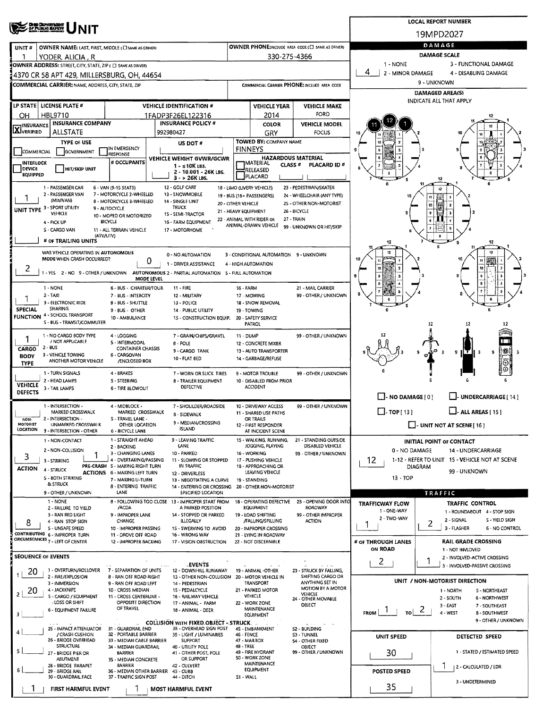| <b>CHIO DEFARTMENT</b><br>OF PUBLIC BAFETY                                                                                                                                                     |                            |                                                    |                                                   |                                     | <b>LOCAL REPORT NUMBER</b>                                  |  |  |  |  |  |  |
|------------------------------------------------------------------------------------------------------------------------------------------------------------------------------------------------|----------------------------|----------------------------------------------------|---------------------------------------------------|-------------------------------------|-------------------------------------------------------------|--|--|--|--|--|--|
|                                                                                                                                                                                                |                            |                                                    |                                                   |                                     | 19MPD2027                                                   |  |  |  |  |  |  |
| OWNER NAME: LAST, FIRST, MIDDLE (C) SAME AS DRIVER)<br>UNIT#                                                                                                                                   |                            |                                                    | OWNER PHONE:INCLUDE AREA CODE (E) SAME AS DRIVERY | DAMAGE                              |                                                             |  |  |  |  |  |  |
| ٦<br>YODER, ALICIA , R                                                                                                                                                                         |                            | 330-275-4366                                       |                                                   |                                     | <b>DAMAGE SCALE</b>                                         |  |  |  |  |  |  |
| OWNER ADDRESS: STREET, CITY, STATE, ZIP ( C) SAME AS DRIVER)                                                                                                                                   |                            |                                                    |                                                   | $1 - NONE$<br>4<br>2 - MINOR DAMAGE | 3 - FUNCTIONAL DAMAGE<br>4 - DISABLING DAMAGE               |  |  |  |  |  |  |
| 4370 CR 58 APT 429, MILLERSBURG, OH, 44654                                                                                                                                                     |                            |                                                    | COMMERCIAL CARRIER PHONE: INCLUDE AREA CODE       |                                     | 9 - UNKNOWN                                                 |  |  |  |  |  |  |
| <b>COMMERCIAL CARRIER: NAME, ADDRESS, CITY, STATE, ZIP</b>                                                                                                                                     |                            |                                                    |                                                   |                                     | DAMAGED AREA(S)                                             |  |  |  |  |  |  |
| LP STATE LICENSE PLATE #<br><b>VEHICLE IDENTIFICATION #</b>                                                                                                                                    |                            | <b>VEHICLE YEAR</b>                                | <b>VEHICLE MAKE</b>                               |                                     | INDICATE ALL THAT APPLY                                     |  |  |  |  |  |  |
| HBL9710<br>1FADP3F26EL122316<br>OН                                                                                                                                                             |                            | 2014                                               | FORD                                              |                                     |                                                             |  |  |  |  |  |  |
| <b>INSURANCE COMPANY</b><br><b>INSURANCE POLICY #</b><br><b>INSURANCE</b>                                                                                                                      |                            | COLOR                                              | <b>VEHICLE MODEL</b>                              |                                     |                                                             |  |  |  |  |  |  |
| <b>X</b> VERIFIED<br><b>ALLSTATE</b><br>992980427                                                                                                                                              |                            | GRY                                                | FOCUS                                             |                                     |                                                             |  |  |  |  |  |  |
| <b>TYPE OF USE</b><br>US DOT #<br>IN EMERGENCY                                                                                                                                                 |                            | <b>TOWED BY: COMPANY NAME</b><br><b>FINNEYS</b>    |                                                   |                                     |                                                             |  |  |  |  |  |  |
| GOVERNMENT<br>COMMERCIAL<br>RESPONSE<br><b>VEHICLE WEIGHT GVWR/GCWR</b>                                                                                                                        |                            | <b>HAZARDOUS MATERIAL</b>                          |                                                   |                                     |                                                             |  |  |  |  |  |  |
| # OCCUPANTS<br>INTERLOCK<br>$1 - s10K$ LBS.<br><b>DEVICE</b><br><b>HIT/SKIP UNIT</b><br>2 - 10.001 - 26K LBS.                                                                                  |                            | <b>TMATERIAL</b><br>CLASS <sup>#</sup><br>RELEASED | PLACARD ID#                                       |                                     |                                                             |  |  |  |  |  |  |
| <b>EQUIPPED</b><br>3 - > 26K LBS.                                                                                                                                                              |                            | PLACARD                                            |                                                   |                                     | 12                                                          |  |  |  |  |  |  |
| 1 - PASSENGER CAR<br>12 - GOLF CART<br>6 - VAN (9-15 SEATS)<br>2 - PASSENGER VAN<br>7 - MOTORCYCLE 2-WHEELED<br>13 - SNOWMOBILE                                                                | 18 - LIMO (LIVERY VEHICLE) |                                                    | 23 - PEDESTRIAN/SKATER                            |                                     | 12                                                          |  |  |  |  |  |  |
| 19 - BUS (16+ PASSENGERS)<br>24 - WHEELCHAIR (ANY TYPE)<br>11<br>(MINIVAN)<br>8 - MOTORCYCLE 3-WHEELED<br>14 - SINGLE UNIT<br>20 - OTHER VEHICLE<br>25 - OTHER NON-MOTORIST<br>10 <sup>1</sup> |                            |                                                    |                                                   |                                     |                                                             |  |  |  |  |  |  |
| UNIT TYPE 3 - SPORT UTILITY<br>TRUCK<br>9 - AUTOCYCLE<br>VEHICLE<br>15 - SEMI-TRACTOR<br>10 - MOPED OR MOTORIZED                                                                               | 21 - HEAVY EQUIPMENT       |                                                    | 26 - BICYCLE                                      |                                     |                                                             |  |  |  |  |  |  |
| <b>BICYCLE</b><br>4 - PICK UP<br>16 - FARM EQUIPMENT                                                                                                                                           |                            | 22 - ANIMAL WITH RIDER OR<br>ANIMAL-DRAWN VEHICLE  | 27 - TRAIN<br>99 - UNKNOWN OR HIT/SKIP            |                                     |                                                             |  |  |  |  |  |  |
| S - CARGO VAN<br>11 - ALL TERRAIN VEHICLE<br>17 - MOTORHOME<br>(ATV/UTV)                                                                                                                       |                            |                                                    |                                                   |                                     | 0                                                           |  |  |  |  |  |  |
| # OF TRAILING UNITS                                                                                                                                                                            |                            |                                                    |                                                   | 12                                  | 12                                                          |  |  |  |  |  |  |
| WAS VEHICLE OPERATING IN AUTONOMOUS<br>0 - NO AUTOMATION<br>MODE WHEN CRASH OCCURRED?                                                                                                          |                            | 3 - CONDITIONAL AUTOMATION 9 - UNKNOWN             |                                                   |                                     | 12                                                          |  |  |  |  |  |  |
| 0<br>1 - ORIVER ASSISTANCE<br>2                                                                                                                                                                | 4 - HIGH AUTOMATION        |                                                    |                                                   |                                     |                                                             |  |  |  |  |  |  |
| 1 - YES 2 - NO 9 - OTHER / UNKNOWN AUTONOMOUS 2 - PARTIAL AUTOMATION 5 - FULL AUTOMATION<br>MODE LEVEL                                                                                         |                            |                                                    |                                                   |                                     |                                                             |  |  |  |  |  |  |
| $1 - NONE$<br>6 - BUS - CHARTER/TOUR<br>11 - FIRE                                                                                                                                              | <b>16 - FARM</b>           |                                                    | 21 - MAIL CARRIER                                 |                                     |                                                             |  |  |  |  |  |  |
| $2 - TAXI$<br>7 - BUS - INTERCITY<br>12 - MILITARY<br>3 - ELECTRONIC RIDE<br><b>B-BUS-SHUTTLE</b><br>13 - POLICE                                                                               |                            | 17 - MOWING<br>18 - SNOW REMOVAL                   | 99 - OTHER / UNKNOWN                              |                                     |                                                             |  |  |  |  |  |  |
| <b>SHARING</b><br>SPECIAL<br>9 - BUS - OTHER<br>14 - PUBLIC UTILITY                                                                                                                            |                            | 19 - TOWING                                        |                                                   |                                     |                                                             |  |  |  |  |  |  |
| <b>FUNCTION 4 - SCHOOL TRANSPORT</b><br>10 - AMBULANCE<br>15 - CONSTRUCTION EQUIP.<br>S - BUS - TRANSIT/COMMUTER                                                                               |                            | 20 - SAFETY SERVICE<br>PATROL                      |                                                   |                                     | 12<br>17                                                    |  |  |  |  |  |  |
| 1 - NO CARGO BODY TYPE<br>4 - LOGGING<br>7 - GRAIN/CHIPS/GRAVEL                                                                                                                                | <b>11 - DUMP</b>           |                                                    | 99 - OTHER / UNKNOWN                              |                                     |                                                             |  |  |  |  |  |  |
| / NOT APPLICABLE<br>5 - INTERMODAL<br>8 - POLE<br>$2 - BUS$                                                                                                                                    |                            | 12 - CONCRETE MIXER                                |                                                   |                                     | Œ                                                           |  |  |  |  |  |  |
| CARGO<br><b>CONTAINER CHASSIS</b><br>9 - CARGO TANK<br>3 - VEHICLE TOWING<br><b>6 - CARGOVAN</b><br><b>BODY</b><br>10 - FLAT BED                                                               |                            | 13 - AUTO TRANSPORTER<br>14 - GARBAGE/REFUSE       |                                                   |                                     | 川茶<br>a.<br>9                                               |  |  |  |  |  |  |
| ANOTHER MOTOR VEHICLE<br>/ENCLOSED BOX<br><b>TYPE</b>                                                                                                                                          |                            |                                                    |                                                   |                                     |                                                             |  |  |  |  |  |  |
| 1 - TURN SIGNALS<br>4 - BRAKES<br>7 - WORN OR SLICK TIRES<br>2 - HEAD LAMPS<br>S - STEERING<br><b>8 - TRAILER EQUIPMENT</b>                                                                    |                            | 9 - MOTOR TROUBLE<br>10 - DISABLED FROM PRIOR      | 99 - OTHER / UNKNOWN                              |                                     |                                                             |  |  |  |  |  |  |
| <b>VEHICLE</b><br>DEFECTIVE<br>3 - TAIL LAMPS<br><b>6 - TIRE BLOWOUT</b><br><b>DEFECTS</b>                                                                                                     |                            | <b>ACCIDENT</b>                                    |                                                   |                                     |                                                             |  |  |  |  |  |  |
|                                                                                                                                                                                                |                            |                                                    |                                                   | $\Box$ - NO DAMAGE [ 0 ]            | UNDERCARRIAGE [ 14 ]                                        |  |  |  |  |  |  |
| 1 - INTERSECTION -<br>4 - MIDBLOCK -<br>7 - SHOULDER/ROADSIDE<br>MARKED CROSSWALK<br>MARKED CROSSWALK<br><b>B - SIDEWALK</b>                                                                   |                            | 10 - DRIVEWAY ACCESS<br>11 - SHARED USE PATHS      | 99 - OTHER / UNKNOWN                              | $\Box$ -TOP [13]                    | $\Box$ - ALL AREAS [ 15 ]                                   |  |  |  |  |  |  |
| 2 - INTERSECTION -<br>S - TRAVEL LANE -<br>NON-<br>9 - MEDIAN/CROSSING<br><b>MOTORIST</b><br>UNMARKED CROSSWALK<br>OTHER LOCATION                                                              |                            | OR TRAILS<br>12 - FIRST RESPONDER                  |                                                   |                                     | $\Box$ - UNIT NOT AT SCENE [ 16 ]                           |  |  |  |  |  |  |
| ISLAND<br><b>LOCATION</b><br>3 - INTERSECTION - OTHER<br>6 - BICYCLE LANE                                                                                                                      |                            | AT INCIDENT SCENE                                  |                                                   |                                     |                                                             |  |  |  |  |  |  |
| 1 - STRAIGHT AHEAD<br>9 - LEAVING TRAFFIC<br>1 - NON-CONTACT<br>LANE<br>2 - BACKING                                                                                                            |                            | 15 - WALKING, RUNNING,<br>JOGGING, PLAYING         | 21 - STANDING OUTSIDE<br>DISABLED VEHICLE         |                                     | <b>INITIAL POINT OF CONTACT</b>                             |  |  |  |  |  |  |
| 2 - NON-COLLISION<br>3 - CHANGING LANES<br>10 - PARKED<br>3                                                                                                                                    |                            | 16 - WORKING                                       | 99 - OTHER / UNKNOWN                              | 0 - NO DAMAGE                       | 14 - UNDERCARRIAGE                                          |  |  |  |  |  |  |
| 4 - OVERTAKING/PASSING<br>11 - SLOWING OR STOPPED<br>3 - STRIKING<br>PRE-CRASH 5 - MAKING RIGHT TURN<br>IN TRAFFIC<br><b>ACTION</b><br>4 - STRUCK                                              |                            | 17 - PUSHING VEHICLE<br>18 - APPROACHING OR        |                                                   | 12<br><b>DIAGRAM</b>                | 1-12 - REFER TO UNIT 15 - VEHICLE NOT AT SCENE              |  |  |  |  |  |  |
| <b>ACTIONS 6 - MAKING LEFT TURN</b><br>12 - DRIVERLESS<br>5 - BOTH STRIKING<br>7 - MAKING U-TURN<br>13 - NEGOTIATING A CURVE                                                                   |                            | LEAVING VEHICLE<br>19 - STANDING                   |                                                   | 13 - TOP                            | 99 - UNKNOWN                                                |  |  |  |  |  |  |
| & STRUCK<br>8 - ENTERING TRAFFIC<br>14 - ENTERING OR CROSSING                                                                                                                                  |                            | 20 - OTHER NON-MOTORIST                            |                                                   |                                     |                                                             |  |  |  |  |  |  |
| LANE<br>SPECIFIED LOCATION<br>9 - OTHER / UNKNOWN<br>$1 - NONE$<br>8 - FOLLOWING TOO CLOSE 13 - IMPROPER START FROM                                                                            |                            | 18 - OPERATING DEFECTIVE                           | 23 - OPENING DOOR INTO                            |                                     | TRAFFIC<br><b>TRAFFIC CONTROL</b>                           |  |  |  |  |  |  |
| /ACDA<br>A PARKED POSITION<br>2 - FAILURE TO YIELD<br>14 - STOPPED OR PARKED                                                                                                                   |                            | EQUIPMENT                                          | ROADWAY                                           | TRAFFICWAY FLOW<br>1 - ONE-WAY      | 1 ROUNDABOUT 4 STOP SIGN                                    |  |  |  |  |  |  |
| 3 - RAN RED LIGHT<br>9 - IMPROPER LANE<br>CHANGE<br>ILLEGALLY<br>4 - RAN STOP SIGN<br>8                                                                                                        |                            | 19 - LOAD SHIFTING<br>/FALUNG/SPILLING             | 99 - OTHER IMPROPER<br><b>ACTION</b>              | 2 - TWO-WAY                         | 2 - SIGNAL<br>S - YIELD SIGN<br>2                           |  |  |  |  |  |  |
| 5 - UNSAFE SPEED<br>10 - IMPROPER PASSING<br>15 - SWERVING TO AVOID<br>CONTRIBUTING 6 - IMPROPER TURN<br>11 - DROVE OFF ROAD<br>16 - WRONG WAY                                                 |                            | 20 - IMPROPER CROSSING<br>21 - LYING IN ROADWAY    |                                                   |                                     | 3 - FLASHER<br>6 - NO CONTROL                               |  |  |  |  |  |  |
| CIRCUMSTANCES 7 - LEFT OF CENTER<br>12 - IMPROPER BACKING<br>17 - VISION OBSTRUCTION                                                                                                           |                            | 22 - NOT DISCERNIBLE                               |                                                   | # OF THROUGH LANES                  | <b>RAIL GRADE CROSSING</b>                                  |  |  |  |  |  |  |
| <b>SEOUENCE OF EVENTS</b>                                                                                                                                                                      |                            |                                                    |                                                   | ON ROAD                             | 1 - NOT INVLOVED<br>2 - INVOLVED-ACTIVE CROSSING            |  |  |  |  |  |  |
| <b>EVENTS</b>                                                                                                                                                                                  |                            |                                                    |                                                   | 2                                   | 3 - INVOLVED-PASSIVE CROSSING                               |  |  |  |  |  |  |
| 1 - OVERTURN/ROLLOVER<br>7 - SEPARATION OF UNITS<br>20<br>12 - DOWNHILL RUNAWAY<br>2 - FIRE/EXPLOSION<br>8 - RAN OFF ROAD RIGHT<br>13 - OTHER NON-COLLISION                                    |                            | 19 - ANIMAL -OTHER<br>20 - MOTOR VEHICLE IN        | 23 - STRUCK BY FALLING,<br>SHIFTING CARGO OR      |                                     |                                                             |  |  |  |  |  |  |
| 3 - IMMERSION<br>9 - RAN OFF ROAD LEFT<br>14 - PEDESTRIAN<br>20<br>4 - JACKKNIFE<br>10 - CROSS MEDIAN<br>15 - PEDALCYCLE                                                                       |                            | TRANSPORT<br>21 - PARKED MOTOR                     | ANYTHING SET IN<br>MOTION BY A MOTOR              |                                     | UNIT / NON-MOTORIST DIRECTION<br>1 - NORTH<br>S - NORTHEAST |  |  |  |  |  |  |
| 2<br>S - CARGO / EQUIPMENT<br>11 - CROSS CENTERLINE -<br>16 - RAILWAY VEHICLE<br><b>LOSS OR SHIFT</b><br>OPPOSITE DIRECTION                                                                    |                            | <b>AEHICLE</b>                                     | VEHICLE<br>24 - OTHER MOVABLE                     |                                     | 2 - SOUTH<br>6 - NORTHWEST                                  |  |  |  |  |  |  |
| 17 - ANIMAL - FARM<br>OF TRAVEL<br>6 - EQUIPMENT FAILURE<br>18 - ANIMAL - DEER                                                                                                                 |                            | 22 - WORK ZONE<br>MAINTENANCE                      | OBJECT                                            | FROM<br>TO                          | 3 - EAST<br>7 - SOUTHEAST<br>2<br>4 - WEST<br>8-SOUTHWEST   |  |  |  |  |  |  |
| <b>COLLISION WITH FIXED OBJECT - STRUCK</b>                                                                                                                                                    |                            | EQUIPMENT                                          |                                                   |                                     | 9 - OTHER / UNKNOWN                                         |  |  |  |  |  |  |
| 25 - IMPACT ATTENUATOR<br>31 - GUARDRAIL END<br>38 - OVERHEAD SIGN POST<br>/ CRASH CUSHION<br>32 - PORTABLE BARRIER<br>39 - LIGHT / LUMINARIES                                                 | 46 - FENCE                 | 45 - EMBANKMENT                                    | S2 - BUILDING<br>S3 - TUNNEL                      |                                     |                                                             |  |  |  |  |  |  |
| 26 - BRIDGE OVERHEAD<br>33 - MEDIAN CABLE BARRIER<br><b>SUPPORT</b><br><b>STRUCTURE</b>                                                                                                        |                            | 47 - MAILBOX                                       | 54 - OTHER FIXED                                  | <b>UNIT SPEED</b>                   | <b>DETECTED SPEED</b>                                       |  |  |  |  |  |  |
| 34 - MEDIAN GUARDRAIL<br>40 - UTILITY POLE<br>27 - BRIDGE PIER OR<br>BARRIER<br>41 - OTHER POST, POLE                                                                                          | <b>48 - TREE</b>           | 49 - FIRE HYDRANT                                  | OBJECT<br>99 - OTHER / UNKNOWN                    | 30                                  | 1 - STATED / ESTIMATED SPEED                                |  |  |  |  |  |  |
| OR SUPPORT<br>ABUTMENT<br>35 - MEDIAN CONCRETE<br>28 - BRIDGE PARAPET<br>BARRIER<br>42 - CULVERT                                                                                               |                            | 50 - WORK ZONE<br>MAINTENANCE                      |                                                   |                                     | 2 - CALCULATED / EDR                                        |  |  |  |  |  |  |
| 6<br>36 - MEDIAN OTHER BARRIER<br>29 - BRIDGE RAIL<br>43 - CURB<br>30 - GUARDRAIL FACE<br>37 - TRAFFIC SIGN POST<br>44 - DITCH                                                                 | S1 - WALL                  | <b>EQUIPMENT</b>                                   |                                                   | POSTED SPEED                        |                                                             |  |  |  |  |  |  |
| FIRST HARMFUL EVENT<br><b>MOST HARMFUL EVENT</b>                                                                                                                                               |                            |                                                    |                                                   | 35                                  | 3 - UNDETERMINED                                            |  |  |  |  |  |  |
|                                                                                                                                                                                                |                            |                                                    |                                                   |                                     |                                                             |  |  |  |  |  |  |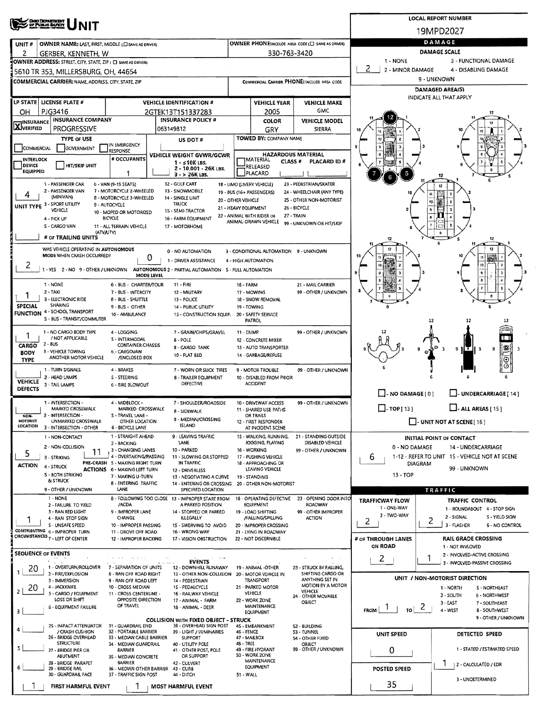|                                                                                                                                                                                                                                                                                                                                                                                                                                                                                                                                                                                                                                                                                                                                                                                                                                                                                                                                                                                                                                                                                                                                                                                                                                                                                                                                                                                                                                                                                                                                                                                                                                                                                                                                                                                                                                                                                                                                                                                                                                                                                                                                                                                                                                                                                                                                                                                                                                                                                                                                                                                                                                                                                                                                                                                                                                                                                                                                                                                                                                                                                                                                                                                                                                                                                                                                                                                                                                                                                                                                                                                                                                                                                                                                                                                                                                                                                                                                                                                                                                                                                                                                                                                                                                                                                                                                                                                                                                                                                                                                                                                                                                                                                                                                                                                                                                                                                                                                                                                                                                                                                                                                                                                                                                                                                                                                                                                                                                                                                                                                                                                                                                                                                                                                                                                                                                                                                                                                                                                                                                                                                                                                                                                                                                                                                                                                                                                                                                                                                                                                                                                                                                                                           |                                          |                 |  |                           |  |              |                                   |                        |    | <b>LOCAL REPORT NUMBER</b>    |  |  |  |
|---------------------------------------------------------------------------------------------------------------------------------------------------------------------------------------------------------------------------------------------------------------------------------------------------------------------------------------------------------------------------------------------------------------------------------------------------------------------------------------------------------------------------------------------------------------------------------------------------------------------------------------------------------------------------------------------------------------------------------------------------------------------------------------------------------------------------------------------------------------------------------------------------------------------------------------------------------------------------------------------------------------------------------------------------------------------------------------------------------------------------------------------------------------------------------------------------------------------------------------------------------------------------------------------------------------------------------------------------------------------------------------------------------------------------------------------------------------------------------------------------------------------------------------------------------------------------------------------------------------------------------------------------------------------------------------------------------------------------------------------------------------------------------------------------------------------------------------------------------------------------------------------------------------------------------------------------------------------------------------------------------------------------------------------------------------------------------------------------------------------------------------------------------------------------------------------------------------------------------------------------------------------------------------------------------------------------------------------------------------------------------------------------------------------------------------------------------------------------------------------------------------------------------------------------------------------------------------------------------------------------------------------------------------------------------------------------------------------------------------------------------------------------------------------------------------------------------------------------------------------------------------------------------------------------------------------------------------------------------------------------------------------------------------------------------------------------------------------------------------------------------------------------------------------------------------------------------------------------------------------------------------------------------------------------------------------------------------------------------------------------------------------------------------------------------------------------------------------------------------------------------------------------------------------------------------------------------------------------------------------------------------------------------------------------------------------------------------------------------------------------------------------------------------------------------------------------------------------------------------------------------------------------------------------------------------------------------------------------------------------------------------------------------------------------------------------------------------------------------------------------------------------------------------------------------------------------------------------------------------------------------------------------------------------------------------------------------------------------------------------------------------------------------------------------------------------------------------------------------------------------------------------------------------------------------------------------------------------------------------------------------------------------------------------------------------------------------------------------------------------------------------------------------------------------------------------------------------------------------------------------------------------------------------------------------------------------------------------------------------------------------------------------------------------------------------------------------------------------------------------------------------------------------------------------------------------------------------------------------------------------------------------------------------------------------------------------------------------------------------------------------------------------------------------------------------------------------------------------------------------------------------------------------------------------------------------------------------------------------------------------------------------------------------------------------------------------------------------------------------------------------------------------------------------------------------------------------------------------------------------------------------------------------------------------------------------------------------------------------------------------------------------------------------------------------------------------------------------------------------------------------------------------------------------------------------------------------------------------------------------------------------------------------------------------------------------------------------------------------------------------------------------------------------------------------------------------------------------------------------------------------------------------------------------------------------------------------------------------------------------------------------------------------------------------|------------------------------------------|-----------------|--|---------------------------|--|--------------|-----------------------------------|------------------------|----|-------------------------------|--|--|--|
|                                                                                                                                                                                                                                                                                                                                                                                                                                                                                                                                                                                                                                                                                                                                                                                                                                                                                                                                                                                                                                                                                                                                                                                                                                                                                                                                                                                                                                                                                                                                                                                                                                                                                                                                                                                                                                                                                                                                                                                                                                                                                                                                                                                                                                                                                                                                                                                                                                                                                                                                                                                                                                                                                                                                                                                                                                                                                                                                                                                                                                                                                                                                                                                                                                                                                                                                                                                                                                                                                                                                                                                                                                                                                                                                                                                                                                                                                                                                                                                                                                                                                                                                                                                                                                                                                                                                                                                                                                                                                                                                                                                                                                                                                                                                                                                                                                                                                                                                                                                                                                                                                                                                                                                                                                                                                                                                                                                                                                                                                                                                                                                                                                                                                                                                                                                                                                                                                                                                                                                                                                                                                                                                                                                                                                                                                                                                                                                                                                                                                                                                                                                                                                                                           | <b>OHO DEFARTADOR</b><br>OF PUBLIC BARCO |                 |  |                           |  |              |                                   |                        |    | 19MPD2027                     |  |  |  |
| UNIT#                                                                                                                                                                                                                                                                                                                                                                                                                                                                                                                                                                                                                                                                                                                                                                                                                                                                                                                                                                                                                                                                                                                                                                                                                                                                                                                                                                                                                                                                                                                                                                                                                                                                                                                                                                                                                                                                                                                                                                                                                                                                                                                                                                                                                                                                                                                                                                                                                                                                                                                                                                                                                                                                                                                                                                                                                                                                                                                                                                                                                                                                                                                                                                                                                                                                                                                                                                                                                                                                                                                                                                                                                                                                                                                                                                                                                                                                                                                                                                                                                                                                                                                                                                                                                                                                                                                                                                                                                                                                                                                                                                                                                                                                                                                                                                                                                                                                                                                                                                                                                                                                                                                                                                                                                                                                                                                                                                                                                                                                                                                                                                                                                                                                                                                                                                                                                                                                                                                                                                                                                                                                                                                                                                                                                                                                                                                                                                                                                                                                                                                                                                                                                                                                     |                                          |                 |  |                           |  |              |                                   |                        |    |                               |  |  |  |
| 2                                                                                                                                                                                                                                                                                                                                                                                                                                                                                                                                                                                                                                                                                                                                                                                                                                                                                                                                                                                                                                                                                                                                                                                                                                                                                                                                                                                                                                                                                                                                                                                                                                                                                                                                                                                                                                                                                                                                                                                                                                                                                                                                                                                                                                                                                                                                                                                                                                                                                                                                                                                                                                                                                                                                                                                                                                                                                                                                                                                                                                                                                                                                                                                                                                                                                                                                                                                                                                                                                                                                                                                                                                                                                                                                                                                                                                                                                                                                                                                                                                                                                                                                                                                                                                                                                                                                                                                                                                                                                                                                                                                                                                                                                                                                                                                                                                                                                                                                                                                                                                                                                                                                                                                                                                                                                                                                                                                                                                                                                                                                                                                                                                                                                                                                                                                                                                                                                                                                                                                                                                                                                                                                                                                                                                                                                                                                                                                                                                                                                                                                                                                                                                                                         |                                          |                 |  |                           |  |              |                                   | DAMAGE SCALE           |    |                               |  |  |  |
|                                                                                                                                                                                                                                                                                                                                                                                                                                                                                                                                                                                                                                                                                                                                                                                                                                                                                                                                                                                                                                                                                                                                                                                                                                                                                                                                                                                                                                                                                                                                                                                                                                                                                                                                                                                                                                                                                                                                                                                                                                                                                                                                                                                                                                                                                                                                                                                                                                                                                                                                                                                                                                                                                                                                                                                                                                                                                                                                                                                                                                                                                                                                                                                                                                                                                                                                                                                                                                                                                                                                                                                                                                                                                                                                                                                                                                                                                                                                                                                                                                                                                                                                                                                                                                                                                                                                                                                                                                                                                                                                                                                                                                                                                                                                                                                                                                                                                                                                                                                                                                                                                                                                                                                                                                                                                                                                                                                                                                                                                                                                                                                                                                                                                                                                                                                                                                                                                                                                                                                                                                                                                                                                                                                                                                                                                                                                                                                                                                                                                                                                                                                                                                                                           |                                          |                 |  |                           |  |              |                                   | 1 - NONE               |    | 3 - FUNCTIONAL DAMAGE         |  |  |  |
|                                                                                                                                                                                                                                                                                                                                                                                                                                                                                                                                                                                                                                                                                                                                                                                                                                                                                                                                                                                                                                                                                                                                                                                                                                                                                                                                                                                                                                                                                                                                                                                                                                                                                                                                                                                                                                                                                                                                                                                                                                                                                                                                                                                                                                                                                                                                                                                                                                                                                                                                                                                                                                                                                                                                                                                                                                                                                                                                                                                                                                                                                                                                                                                                                                                                                                                                                                                                                                                                                                                                                                                                                                                                                                                                                                                                                                                                                                                                                                                                                                                                                                                                                                                                                                                                                                                                                                                                                                                                                                                                                                                                                                                                                                                                                                                                                                                                                                                                                                                                                                                                                                                                                                                                                                                                                                                                                                                                                                                                                                                                                                                                                                                                                                                                                                                                                                                                                                                                                                                                                                                                                                                                                                                                                                                                                                                                                                                                                                                                                                                                                                                                                                                                           |                                          |                 |  |                           |  |              |                                   |                        |    |                               |  |  |  |
|                                                                                                                                                                                                                                                                                                                                                                                                                                                                                                                                                                                                                                                                                                                                                                                                                                                                                                                                                                                                                                                                                                                                                                                                                                                                                                                                                                                                                                                                                                                                                                                                                                                                                                                                                                                                                                                                                                                                                                                                                                                                                                                                                                                                                                                                                                                                                                                                                                                                                                                                                                                                                                                                                                                                                                                                                                                                                                                                                                                                                                                                                                                                                                                                                                                                                                                                                                                                                                                                                                                                                                                                                                                                                                                                                                                                                                                                                                                                                                                                                                                                                                                                                                                                                                                                                                                                                                                                                                                                                                                                                                                                                                                                                                                                                                                                                                                                                                                                                                                                                                                                                                                                                                                                                                                                                                                                                                                                                                                                                                                                                                                                                                                                                                                                                                                                                                                                                                                                                                                                                                                                                                                                                                                                                                                                                                                                                                                                                                                                                                                                                                                                                                                                           |                                          |                 |  |                           |  |              |                                   |                        |    |                               |  |  |  |
|                                                                                                                                                                                                                                                                                                                                                                                                                                                                                                                                                                                                                                                                                                                                                                                                                                                                                                                                                                                                                                                                                                                                                                                                                                                                                                                                                                                                                                                                                                                                                                                                                                                                                                                                                                                                                                                                                                                                                                                                                                                                                                                                                                                                                                                                                                                                                                                                                                                                                                                                                                                                                                                                                                                                                                                                                                                                                                                                                                                                                                                                                                                                                                                                                                                                                                                                                                                                                                                                                                                                                                                                                                                                                                                                                                                                                                                                                                                                                                                                                                                                                                                                                                                                                                                                                                                                                                                                                                                                                                                                                                                                                                                                                                                                                                                                                                                                                                                                                                                                                                                                                                                                                                                                                                                                                                                                                                                                                                                                                                                                                                                                                                                                                                                                                                                                                                                                                                                                                                                                                                                                                                                                                                                                                                                                                                                                                                                                                                                                                                                                                                                                                                                                           |                                          |                 |  |                           |  |              |                                   |                        |    |                               |  |  |  |
|                                                                                                                                                                                                                                                                                                                                                                                                                                                                                                                                                                                                                                                                                                                                                                                                                                                                                                                                                                                                                                                                                                                                                                                                                                                                                                                                                                                                                                                                                                                                                                                                                                                                                                                                                                                                                                                                                                                                                                                                                                                                                                                                                                                                                                                                                                                                                                                                                                                                                                                                                                                                                                                                                                                                                                                                                                                                                                                                                                                                                                                                                                                                                                                                                                                                                                                                                                                                                                                                                                                                                                                                                                                                                                                                                                                                                                                                                                                                                                                                                                                                                                                                                                                                                                                                                                                                                                                                                                                                                                                                                                                                                                                                                                                                                                                                                                                                                                                                                                                                                                                                                                                                                                                                                                                                                                                                                                                                                                                                                                                                                                                                                                                                                                                                                                                                                                                                                                                                                                                                                                                                                                                                                                                                                                                                                                                                                                                                                                                                                                                                                                                                                                                                           |                                          |                 |  |                           |  |              |                                   |                        |    |                               |  |  |  |
|                                                                                                                                                                                                                                                                                                                                                                                                                                                                                                                                                                                                                                                                                                                                                                                                                                                                                                                                                                                                                                                                                                                                                                                                                                                                                                                                                                                                                                                                                                                                                                                                                                                                                                                                                                                                                                                                                                                                                                                                                                                                                                                                                                                                                                                                                                                                                                                                                                                                                                                                                                                                                                                                                                                                                                                                                                                                                                                                                                                                                                                                                                                                                                                                                                                                                                                                                                                                                                                                                                                                                                                                                                                                                                                                                                                                                                                                                                                                                                                                                                                                                                                                                                                                                                                                                                                                                                                                                                                                                                                                                                                                                                                                                                                                                                                                                                                                                                                                                                                                                                                                                                                                                                                                                                                                                                                                                                                                                                                                                                                                                                                                                                                                                                                                                                                                                                                                                                                                                                                                                                                                                                                                                                                                                                                                                                                                                                                                                                                                                                                                                                                                                                                                           |                                          |                 |  |                           |  | <b>COLOR</b> | <b>VEHICLE MODEL</b>              |                        |    |                               |  |  |  |
|                                                                                                                                                                                                                                                                                                                                                                                                                                                                                                                                                                                                                                                                                                                                                                                                                                                                                                                                                                                                                                                                                                                                                                                                                                                                                                                                                                                                                                                                                                                                                                                                                                                                                                                                                                                                                                                                                                                                                                                                                                                                                                                                                                                                                                                                                                                                                                                                                                                                                                                                                                                                                                                                                                                                                                                                                                                                                                                                                                                                                                                                                                                                                                                                                                                                                                                                                                                                                                                                                                                                                                                                                                                                                                                                                                                                                                                                                                                                                                                                                                                                                                                                                                                                                                                                                                                                                                                                                                                                                                                                                                                                                                                                                                                                                                                                                                                                                                                                                                                                                                                                                                                                                                                                                                                                                                                                                                                                                                                                                                                                                                                                                                                                                                                                                                                                                                                                                                                                                                                                                                                                                                                                                                                                                                                                                                                                                                                                                                                                                                                                                                                                                                                                           | <b>PROGRESSIVE</b>                       |                 |  |                           |  | GRY          | SIERRA                            |                        |    |                               |  |  |  |
|                                                                                                                                                                                                                                                                                                                                                                                                                                                                                                                                                                                                                                                                                                                                                                                                                                                                                                                                                                                                                                                                                                                                                                                                                                                                                                                                                                                                                                                                                                                                                                                                                                                                                                                                                                                                                                                                                                                                                                                                                                                                                                                                                                                                                                                                                                                                                                                                                                                                                                                                                                                                                                                                                                                                                                                                                                                                                                                                                                                                                                                                                                                                                                                                                                                                                                                                                                                                                                                                                                                                                                                                                                                                                                                                                                                                                                                                                                                                                                                                                                                                                                                                                                                                                                                                                                                                                                                                                                                                                                                                                                                                                                                                                                                                                                                                                                                                                                                                                                                                                                                                                                                                                                                                                                                                                                                                                                                                                                                                                                                                                                                                                                                                                                                                                                                                                                                                                                                                                                                                                                                                                                                                                                                                                                                                                                                                                                                                                                                                                                                                                                                                                                                                           | <b>TYPE OF USE</b>                       |                 |  | US DOT#                   |  |              |                                   |                        |    |                               |  |  |  |
|                                                                                                                                                                                                                                                                                                                                                                                                                                                                                                                                                                                                                                                                                                                                                                                                                                                                                                                                                                                                                                                                                                                                                                                                                                                                                                                                                                                                                                                                                                                                                                                                                                                                                                                                                                                                                                                                                                                                                                                                                                                                                                                                                                                                                                                                                                                                                                                                                                                                                                                                                                                                                                                                                                                                                                                                                                                                                                                                                                                                                                                                                                                                                                                                                                                                                                                                                                                                                                                                                                                                                                                                                                                                                                                                                                                                                                                                                                                                                                                                                                                                                                                                                                                                                                                                                                                                                                                                                                                                                                                                                                                                                                                                                                                                                                                                                                                                                                                                                                                                                                                                                                                                                                                                                                                                                                                                                                                                                                                                                                                                                                                                                                                                                                                                                                                                                                                                                                                                                                                                                                                                                                                                                                                                                                                                                                                                                                                                                                                                                                                                                                                                                                                                           |                                          | <b>RESPONSE</b> |  |                           |  |              |                                   |                        |    |                               |  |  |  |
| <b>DEVICE</b>                                                                                                                                                                                                                                                                                                                                                                                                                                                                                                                                                                                                                                                                                                                                                                                                                                                                                                                                                                                                                                                                                                                                                                                                                                                                                                                                                                                                                                                                                                                                                                                                                                                                                                                                                                                                                                                                                                                                                                                                                                                                                                                                                                                                                                                                                                                                                                                                                                                                                                                                                                                                                                                                                                                                                                                                                                                                                                                                                                                                                                                                                                                                                                                                                                                                                                                                                                                                                                                                                                                                                                                                                                                                                                                                                                                                                                                                                                                                                                                                                                                                                                                                                                                                                                                                                                                                                                                                                                                                                                                                                                                                                                                                                                                                                                                                                                                                                                                                                                                                                                                                                                                                                                                                                                                                                                                                                                                                                                                                                                                                                                                                                                                                                                                                                                                                                                                                                                                                                                                                                                                                                                                                                                                                                                                                                                                                                                                                                                                                                                                                                                                                                                                             | <b>HIT/SKIP UNIT</b>                     |                 |  | $1 - s$ 10K LBS.          |  |              | <b>PLACARD ID#</b>                |                        |    |                               |  |  |  |
|                                                                                                                                                                                                                                                                                                                                                                                                                                                                                                                                                                                                                                                                                                                                                                                                                                                                                                                                                                                                                                                                                                                                                                                                                                                                                                                                                                                                                                                                                                                                                                                                                                                                                                                                                                                                                                                                                                                                                                                                                                                                                                                                                                                                                                                                                                                                                                                                                                                                                                                                                                                                                                                                                                                                                                                                                                                                                                                                                                                                                                                                                                                                                                                                                                                                                                                                                                                                                                                                                                                                                                                                                                                                                                                                                                                                                                                                                                                                                                                                                                                                                                                                                                                                                                                                                                                                                                                                                                                                                                                                                                                                                                                                                                                                                                                                                                                                                                                                                                                                                                                                                                                                                                                                                                                                                                                                                                                                                                                                                                                                                                                                                                                                                                                                                                                                                                                                                                                                                                                                                                                                                                                                                                                                                                                                                                                                                                                                                                                                                                                                                                                                                                                                           |                                          | 1               |  | $3 - 26K$ LBS.            |  |              |                                   |                        |    |                               |  |  |  |
|                                                                                                                                                                                                                                                                                                                                                                                                                                                                                                                                                                                                                                                                                                                                                                                                                                                                                                                                                                                                                                                                                                                                                                                                                                                                                                                                                                                                                                                                                                                                                                                                                                                                                                                                                                                                                                                                                                                                                                                                                                                                                                                                                                                                                                                                                                                                                                                                                                                                                                                                                                                                                                                                                                                                                                                                                                                                                                                                                                                                                                                                                                                                                                                                                                                                                                                                                                                                                                                                                                                                                                                                                                                                                                                                                                                                                                                                                                                                                                                                                                                                                                                                                                                                                                                                                                                                                                                                                                                                                                                                                                                                                                                                                                                                                                                                                                                                                                                                                                                                                                                                                                                                                                                                                                                                                                                                                                                                                                                                                                                                                                                                                                                                                                                                                                                                                                                                                                                                                                                                                                                                                                                                                                                                                                                                                                                                                                                                                                                                                                                                                                                                                                                                           | 1 - PASSENGER CAR                        |                 |  |                           |  |              |                                   |                        |    |                               |  |  |  |
| 4                                                                                                                                                                                                                                                                                                                                                                                                                                                                                                                                                                                                                                                                                                                                                                                                                                                                                                                                                                                                                                                                                                                                                                                                                                                                                                                                                                                                                                                                                                                                                                                                                                                                                                                                                                                                                                                                                                                                                                                                                                                                                                                                                                                                                                                                                                                                                                                                                                                                                                                                                                                                                                                                                                                                                                                                                                                                                                                                                                                                                                                                                                                                                                                                                                                                                                                                                                                                                                                                                                                                                                                                                                                                                                                                                                                                                                                                                                                                                                                                                                                                                                                                                                                                                                                                                                                                                                                                                                                                                                                                                                                                                                                                                                                                                                                                                                                                                                                                                                                                                                                                                                                                                                                                                                                                                                                                                                                                                                                                                                                                                                                                                                                                                                                                                                                                                                                                                                                                                                                                                                                                                                                                                                                                                                                                                                                                                                                                                                                                                                                                                                                                                                                                         | (MINIVAN)                                |                 |  |                           |  |              |                                   |                        |    |                               |  |  |  |
| <b>TRUCK</b><br>9 - AUTOCYCLE<br>26 - BICYCLE<br>21 - HEAVY EQUIPMENT<br><b>VEHICLE</b><br><b>1S - SEMI-TRACTOR</b>                                                                                                                                                                                                                                                                                                                                                                                                                                                                                                                                                                                                                                                                                                                                                                                                                                                                                                                                                                                                                                                                                                                                                                                                                                                                                                                                                                                                                                                                                                                                                                                                                                                                                                                                                                                                                                                                                                                                                                                                                                                                                                                                                                                                                                                                                                                                                                                                                                                                                                                                                                                                                                                                                                                                                                                                                                                                                                                                                                                                                                                                                                                                                                                                                                                                                                                                                                                                                                                                                                                                                                                                                                                                                                                                                                                                                                                                                                                                                                                                                                                                                                                                                                                                                                                                                                                                                                                                                                                                                                                                                                                                                                                                                                                                                                                                                                                                                                                                                                                                                                                                                                                                                                                                                                                                                                                                                                                                                                                                                                                                                                                                                                                                                                                                                                                                                                                                                                                                                                                                                                                                                                                                                                                                                                                                                                                                                                                                                                                                                                                                                       |                                          |                 |  |                           |  |              |                                   |                        |    |                               |  |  |  |
|                                                                                                                                                                                                                                                                                                                                                                                                                                                                                                                                                                                                                                                                                                                                                                                                                                                                                                                                                                                                                                                                                                                                                                                                                                                                                                                                                                                                                                                                                                                                                                                                                                                                                                                                                                                                                                                                                                                                                                                                                                                                                                                                                                                                                                                                                                                                                                                                                                                                                                                                                                                                                                                                                                                                                                                                                                                                                                                                                                                                                                                                                                                                                                                                                                                                                                                                                                                                                                                                                                                                                                                                                                                                                                                                                                                                                                                                                                                                                                                                                                                                                                                                                                                                                                                                                                                                                                                                                                                                                                                                                                                                                                                                                                                                                                                                                                                                                                                                                                                                                                                                                                                                                                                                                                                                                                                                                                                                                                                                                                                                                                                                                                                                                                                                                                                                                                                                                                                                                                                                                                                                                                                                                                                                                                                                                                                                                                                                                                                                                                                                                                                                                                                                           | 4 - PICK UP                              |                 |  |                           |  |              |                                   |                        |    |                               |  |  |  |
|                                                                                                                                                                                                                                                                                                                                                                                                                                                                                                                                                                                                                                                                                                                                                                                                                                                                                                                                                                                                                                                                                                                                                                                                                                                                                                                                                                                                                                                                                                                                                                                                                                                                                                                                                                                                                                                                                                                                                                                                                                                                                                                                                                                                                                                                                                                                                                                                                                                                                                                                                                                                                                                                                                                                                                                                                                                                                                                                                                                                                                                                                                                                                                                                                                                                                                                                                                                                                                                                                                                                                                                                                                                                                                                                                                                                                                                                                                                                                                                                                                                                                                                                                                                                                                                                                                                                                                                                                                                                                                                                                                                                                                                                                                                                                                                                                                                                                                                                                                                                                                                                                                                                                                                                                                                                                                                                                                                                                                                                                                                                                                                                                                                                                                                                                                                                                                                                                                                                                                                                                                                                                                                                                                                                                                                                                                                                                                                                                                                                                                                                                                                                                                                                           |                                          |                 |  |                           |  |              |                                   |                        |    |                               |  |  |  |
|                                                                                                                                                                                                                                                                                                                                                                                                                                                                                                                                                                                                                                                                                                                                                                                                                                                                                                                                                                                                                                                                                                                                                                                                                                                                                                                                                                                                                                                                                                                                                                                                                                                                                                                                                                                                                                                                                                                                                                                                                                                                                                                                                                                                                                                                                                                                                                                                                                                                                                                                                                                                                                                                                                                                                                                                                                                                                                                                                                                                                                                                                                                                                                                                                                                                                                                                                                                                                                                                                                                                                                                                                                                                                                                                                                                                                                                                                                                                                                                                                                                                                                                                                                                                                                                                                                                                                                                                                                                                                                                                                                                                                                                                                                                                                                                                                                                                                                                                                                                                                                                                                                                                                                                                                                                                                                                                                                                                                                                                                                                                                                                                                                                                                                                                                                                                                                                                                                                                                                                                                                                                                                                                                                                                                                                                                                                                                                                                                                                                                                                                                                                                                                                                           |                                          |                 |  |                           |  |              |                                   | 12                     |    | 12                            |  |  |  |
|                                                                                                                                                                                                                                                                                                                                                                                                                                                                                                                                                                                                                                                                                                                                                                                                                                                                                                                                                                                                                                                                                                                                                                                                                                                                                                                                                                                                                                                                                                                                                                                                                                                                                                                                                                                                                                                                                                                                                                                                                                                                                                                                                                                                                                                                                                                                                                                                                                                                                                                                                                                                                                                                                                                                                                                                                                                                                                                                                                                                                                                                                                                                                                                                                                                                                                                                                                                                                                                                                                                                                                                                                                                                                                                                                                                                                                                                                                                                                                                                                                                                                                                                                                                                                                                                                                                                                                                                                                                                                                                                                                                                                                                                                                                                                                                                                                                                                                                                                                                                                                                                                                                                                                                                                                                                                                                                                                                                                                                                                                                                                                                                                                                                                                                                                                                                                                                                                                                                                                                                                                                                                                                                                                                                                                                                                                                                                                                                                                                                                                                                                                                                                                                                           |                                          |                 |  |                           |  |              |                                   |                        |    |                               |  |  |  |
| 2                                                                                                                                                                                                                                                                                                                                                                                                                                                                                                                                                                                                                                                                                                                                                                                                                                                                                                                                                                                                                                                                                                                                                                                                                                                                                                                                                                                                                                                                                                                                                                                                                                                                                                                                                                                                                                                                                                                                                                                                                                                                                                                                                                                                                                                                                                                                                                                                                                                                                                                                                                                                                                                                                                                                                                                                                                                                                                                                                                                                                                                                                                                                                                                                                                                                                                                                                                                                                                                                                                                                                                                                                                                                                                                                                                                                                                                                                                                                                                                                                                                                                                                                                                                                                                                                                                                                                                                                                                                                                                                                                                                                                                                                                                                                                                                                                                                                                                                                                                                                                                                                                                                                                                                                                                                                                                                                                                                                                                                                                                                                                                                                                                                                                                                                                                                                                                                                                                                                                                                                                                                                                                                                                                                                                                                                                                                                                                                                                                                                                                                                                                                                                                                                         |                                          |                 |  |                           |  |              |                                   |                        |    |                               |  |  |  |
|                                                                                                                                                                                                                                                                                                                                                                                                                                                                                                                                                                                                                                                                                                                                                                                                                                                                                                                                                                                                                                                                                                                                                                                                                                                                                                                                                                                                                                                                                                                                                                                                                                                                                                                                                                                                                                                                                                                                                                                                                                                                                                                                                                                                                                                                                                                                                                                                                                                                                                                                                                                                                                                                                                                                                                                                                                                                                                                                                                                                                                                                                                                                                                                                                                                                                                                                                                                                                                                                                                                                                                                                                                                                                                                                                                                                                                                                                                                                                                                                                                                                                                                                                                                                                                                                                                                                                                                                                                                                                                                                                                                                                                                                                                                                                                                                                                                                                                                                                                                                                                                                                                                                                                                                                                                                                                                                                                                                                                                                                                                                                                                                                                                                                                                                                                                                                                                                                                                                                                                                                                                                                                                                                                                                                                                                                                                                                                                                                                                                                                                                                                                                                                                                           |                                          |                 |  |                           |  |              |                                   |                        |    | ۰                             |  |  |  |
|                                                                                                                                                                                                                                                                                                                                                                                                                                                                                                                                                                                                                                                                                                                                                                                                                                                                                                                                                                                                                                                                                                                                                                                                                                                                                                                                                                                                                                                                                                                                                                                                                                                                                                                                                                                                                                                                                                                                                                                                                                                                                                                                                                                                                                                                                                                                                                                                                                                                                                                                                                                                                                                                                                                                                                                                                                                                                                                                                                                                                                                                                                                                                                                                                                                                                                                                                                                                                                                                                                                                                                                                                                                                                                                                                                                                                                                                                                                                                                                                                                                                                                                                                                                                                                                                                                                                                                                                                                                                                                                                                                                                                                                                                                                                                                                                                                                                                                                                                                                                                                                                                                                                                                                                                                                                                                                                                                                                                                                                                                                                                                                                                                                                                                                                                                                                                                                                                                                                                                                                                                                                                                                                                                                                                                                                                                                                                                                                                                                                                                                                                                                                                                                                           | 1 - NONE                                 |                 |  | 11 - FIRE                 |  |              | 21 - MAIL CARRIER                 |                        |    |                               |  |  |  |
| 1                                                                                                                                                                                                                                                                                                                                                                                                                                                                                                                                                                                                                                                                                                                                                                                                                                                                                                                                                                                                                                                                                                                                                                                                                                                                                                                                                                                                                                                                                                                                                                                                                                                                                                                                                                                                                                                                                                                                                                                                                                                                                                                                                                                                                                                                                                                                                                                                                                                                                                                                                                                                                                                                                                                                                                                                                                                                                                                                                                                                                                                                                                                                                                                                                                                                                                                                                                                                                                                                                                                                                                                                                                                                                                                                                                                                                                                                                                                                                                                                                                                                                                                                                                                                                                                                                                                                                                                                                                                                                                                                                                                                                                                                                                                                                                                                                                                                                                                                                                                                                                                                                                                                                                                                                                                                                                                                                                                                                                                                                                                                                                                                                                                                                                                                                                                                                                                                                                                                                                                                                                                                                                                                                                                                                                                                                                                                                                                                                                                                                                                                                                                                                                                                         | 3 - ELECTRONIC RIDE                      |                 |  | 13 - POLICE               |  |              |                                   |                        |    |                               |  |  |  |
|                                                                                                                                                                                                                                                                                                                                                                                                                                                                                                                                                                                                                                                                                                                                                                                                                                                                                                                                                                                                                                                                                                                                                                                                                                                                                                                                                                                                                                                                                                                                                                                                                                                                                                                                                                                                                                                                                                                                                                                                                                                                                                                                                                                                                                                                                                                                                                                                                                                                                                                                                                                                                                                                                                                                                                                                                                                                                                                                                                                                                                                                                                                                                                                                                                                                                                                                                                                                                                                                                                                                                                                                                                                                                                                                                                                                                                                                                                                                                                                                                                                                                                                                                                                                                                                                                                                                                                                                                                                                                                                                                                                                                                                                                                                                                                                                                                                                                                                                                                                                                                                                                                                                                                                                                                                                                                                                                                                                                                                                                                                                                                                                                                                                                                                                                                                                                                                                                                                                                                                                                                                                                                                                                                                                                                                                                                                                                                                                                                                                                                                                                                                                                                                                           |                                          |                 |  | 14 - PUBLIC UTILITY       |  |              |                                   |                        |    |                               |  |  |  |
|                                                                                                                                                                                                                                                                                                                                                                                                                                                                                                                                                                                                                                                                                                                                                                                                                                                                                                                                                                                                                                                                                                                                                                                                                                                                                                                                                                                                                                                                                                                                                                                                                                                                                                                                                                                                                                                                                                                                                                                                                                                                                                                                                                                                                                                                                                                                                                                                                                                                                                                                                                                                                                                                                                                                                                                                                                                                                                                                                                                                                                                                                                                                                                                                                                                                                                                                                                                                                                                                                                                                                                                                                                                                                                                                                                                                                                                                                                                                                                                                                                                                                                                                                                                                                                                                                                                                                                                                                                                                                                                                                                                                                                                                                                                                                                                                                                                                                                                                                                                                                                                                                                                                                                                                                                                                                                                                                                                                                                                                                                                                                                                                                                                                                                                                                                                                                                                                                                                                                                                                                                                                                                                                                                                                                                                                                                                                                                                                                                                                                                                                                                                                                                                                           | S - BUS - TRANSIT/COMMUTER               |                 |  |                           |  |              |                                   |                        | 12 | 12                            |  |  |  |
|                                                                                                                                                                                                                                                                                                                                                                                                                                                                                                                                                                                                                                                                                                                                                                                                                                                                                                                                                                                                                                                                                                                                                                                                                                                                                                                                                                                                                                                                                                                                                                                                                                                                                                                                                                                                                                                                                                                                                                                                                                                                                                                                                                                                                                                                                                                                                                                                                                                                                                                                                                                                                                                                                                                                                                                                                                                                                                                                                                                                                                                                                                                                                                                                                                                                                                                                                                                                                                                                                                                                                                                                                                                                                                                                                                                                                                                                                                                                                                                                                                                                                                                                                                                                                                                                                                                                                                                                                                                                                                                                                                                                                                                                                                                                                                                                                                                                                                                                                                                                                                                                                                                                                                                                                                                                                                                                                                                                                                                                                                                                                                                                                                                                                                                                                                                                                                                                                                                                                                                                                                                                                                                                                                                                                                                                                                                                                                                                                                                                                                                                                                                                                                                                           |                                          | 4 - LOGGING     |  | 7 - GRAIN/CHIPS/GRAVEL    |  |              | 99 - OTHER / UNKNOWN              |                        |    |                               |  |  |  |
| CARGO                                                                                                                                                                                                                                                                                                                                                                                                                                                                                                                                                                                                                                                                                                                                                                                                                                                                                                                                                                                                                                                                                                                                                                                                                                                                                                                                                                                                                                                                                                                                                                                                                                                                                                                                                                                                                                                                                                                                                                                                                                                                                                                                                                                                                                                                                                                                                                                                                                                                                                                                                                                                                                                                                                                                                                                                                                                                                                                                                                                                                                                                                                                                                                                                                                                                                                                                                                                                                                                                                                                                                                                                                                                                                                                                                                                                                                                                                                                                                                                                                                                                                                                                                                                                                                                                                                                                                                                                                                                                                                                                                                                                                                                                                                                                                                                                                                                                                                                                                                                                                                                                                                                                                                                                                                                                                                                                                                                                                                                                                                                                                                                                                                                                                                                                                                                                                                                                                                                                                                                                                                                                                                                                                                                                                                                                                                                                                                                                                                                                                                                                                                                                                                                                     |                                          |                 |  | 8 - POLE                  |  |              |                                   |                        |    |                               |  |  |  |
| <b>BODY</b>                                                                                                                                                                                                                                                                                                                                                                                                                                                                                                                                                                                                                                                                                                                                                                                                                                                                                                                                                                                                                                                                                                                                                                                                                                                                                                                                                                                                                                                                                                                                                                                                                                                                                                                                                                                                                                                                                                                                                                                                                                                                                                                                                                                                                                                                                                                                                                                                                                                                                                                                                                                                                                                                                                                                                                                                                                                                                                                                                                                                                                                                                                                                                                                                                                                                                                                                                                                                                                                                                                                                                                                                                                                                                                                                                                                                                                                                                                                                                                                                                                                                                                                                                                                                                                                                                                                                                                                                                                                                                                                                                                                                                                                                                                                                                                                                                                                                                                                                                                                                                                                                                                                                                                                                                                                                                                                                                                                                                                                                                                                                                                                                                                                                                                                                                                                                                                                                                                                                                                                                                                                                                                                                                                                                                                                                                                                                                                                                                                                                                                                                                                                                                                                               | ANOTHER MOTOR VEHICLE                    | 6 - CARGOVAN    |  | 10 - FLAT BED             |  |              |                                   |                        |    |                               |  |  |  |
|                                                                                                                                                                                                                                                                                                                                                                                                                                                                                                                                                                                                                                                                                                                                                                                                                                                                                                                                                                                                                                                                                                                                                                                                                                                                                                                                                                                                                                                                                                                                                                                                                                                                                                                                                                                                                                                                                                                                                                                                                                                                                                                                                                                                                                                                                                                                                                                                                                                                                                                                                                                                                                                                                                                                                                                                                                                                                                                                                                                                                                                                                                                                                                                                                                                                                                                                                                                                                                                                                                                                                                                                                                                                                                                                                                                                                                                                                                                                                                                                                                                                                                                                                                                                                                                                                                                                                                                                                                                                                                                                                                                                                                                                                                                                                                                                                                                                                                                                                                                                                                                                                                                                                                                                                                                                                                                                                                                                                                                                                                                                                                                                                                                                                                                                                                                                                                                                                                                                                                                                                                                                                                                                                                                                                                                                                                                                                                                                                                                                                                                                                                                                                                                                           |                                          |                 |  |                           |  |              |                                   |                        |    |                               |  |  |  |
|                                                                                                                                                                                                                                                                                                                                                                                                                                                                                                                                                                                                                                                                                                                                                                                                                                                                                                                                                                                                                                                                                                                                                                                                                                                                                                                                                                                                                                                                                                                                                                                                                                                                                                                                                                                                                                                                                                                                                                                                                                                                                                                                                                                                                                                                                                                                                                                                                                                                                                                                                                                                                                                                                                                                                                                                                                                                                                                                                                                                                                                                                                                                                                                                                                                                                                                                                                                                                                                                                                                                                                                                                                                                                                                                                                                                                                                                                                                                                                                                                                                                                                                                                                                                                                                                                                                                                                                                                                                                                                                                                                                                                                                                                                                                                                                                                                                                                                                                                                                                                                                                                                                                                                                                                                                                                                                                                                                                                                                                                                                                                                                                                                                                                                                                                                                                                                                                                                                                                                                                                                                                                                                                                                                                                                                                                                                                                                                                                                                                                                                                                                                                                                                                           | 2 - HEAD LAMPS                           | S - STEERING    |  | 8 - TRAILER EQUIPMENT     |  |              |                                   |                        |    |                               |  |  |  |
| <b>DEFECTS</b>                                                                                                                                                                                                                                                                                                                                                                                                                                                                                                                                                                                                                                                                                                                                                                                                                                                                                                                                                                                                                                                                                                                                                                                                                                                                                                                                                                                                                                                                                                                                                                                                                                                                                                                                                                                                                                                                                                                                                                                                                                                                                                                                                                                                                                                                                                                                                                                                                                                                                                                                                                                                                                                                                                                                                                                                                                                                                                                                                                                                                                                                                                                                                                                                                                                                                                                                                                                                                                                                                                                                                                                                                                                                                                                                                                                                                                                                                                                                                                                                                                                                                                                                                                                                                                                                                                                                                                                                                                                                                                                                                                                                                                                                                                                                                                                                                                                                                                                                                                                                                                                                                                                                                                                                                                                                                                                                                                                                                                                                                                                                                                                                                                                                                                                                                                                                                                                                                                                                                                                                                                                                                                                                                                                                                                                                                                                                                                                                                                                                                                                                                                                                                                                            |                                          |                 |  |                           |  |              |                                   |                        |    |                               |  |  |  |
|                                                                                                                                                                                                                                                                                                                                                                                                                                                                                                                                                                                                                                                                                                                                                                                                                                                                                                                                                                                                                                                                                                                                                                                                                                                                                                                                                                                                                                                                                                                                                                                                                                                                                                                                                                                                                                                                                                                                                                                                                                                                                                                                                                                                                                                                                                                                                                                                                                                                                                                                                                                                                                                                                                                                                                                                                                                                                                                                                                                                                                                                                                                                                                                                                                                                                                                                                                                                                                                                                                                                                                                                                                                                                                                                                                                                                                                                                                                                                                                                                                                                                                                                                                                                                                                                                                                                                                                                                                                                                                                                                                                                                                                                                                                                                                                                                                                                                                                                                                                                                                                                                                                                                                                                                                                                                                                                                                                                                                                                                                                                                                                                                                                                                                                                                                                                                                                                                                                                                                                                                                                                                                                                                                                                                                                                                                                                                                                                                                                                                                                                                                                                                                                                           | 1 INTERSECTION -                         | 4 - MIDBLOCK -  |  | 7 - SHOULDER/ROADSIDE     |  |              | 99 - OTHER / UNKNOWN              |                        |    |                               |  |  |  |
|                                                                                                                                                                                                                                                                                                                                                                                                                                                                                                                                                                                                                                                                                                                                                                                                                                                                                                                                                                                                                                                                                                                                                                                                                                                                                                                                                                                                                                                                                                                                                                                                                                                                                                                                                                                                                                                                                                                                                                                                                                                                                                                                                                                                                                                                                                                                                                                                                                                                                                                                                                                                                                                                                                                                                                                                                                                                                                                                                                                                                                                                                                                                                                                                                                                                                                                                                                                                                                                                                                                                                                                                                                                                                                                                                                                                                                                                                                                                                                                                                                                                                                                                                                                                                                                                                                                                                                                                                                                                                                                                                                                                                                                                                                                                                                                                                                                                                                                                                                                                                                                                                                                                                                                                                                                                                                                                                                                                                                                                                                                                                                                                                                                                                                                                                                                                                                                                                                                                                                                                                                                                                                                                                                                                                                                                                                                                                                                                                                                                                                                                                                                                                                                                           | <b>MARKED CROSSWALK</b>                  |                 |  | 8 - SIDEWALK              |  |              |                                   |                        |    |                               |  |  |  |
| <b>MOTORIST</b><br><b>LOCATION</b>                                                                                                                                                                                                                                                                                                                                                                                                                                                                                                                                                                                                                                                                                                                                                                                                                                                                                                                                                                                                                                                                                                                                                                                                                                                                                                                                                                                                                                                                                                                                                                                                                                                                                                                                                                                                                                                                                                                                                                                                                                                                                                                                                                                                                                                                                                                                                                                                                                                                                                                                                                                                                                                                                                                                                                                                                                                                                                                                                                                                                                                                                                                                                                                                                                                                                                                                                                                                                                                                                                                                                                                                                                                                                                                                                                                                                                                                                                                                                                                                                                                                                                                                                                                                                                                                                                                                                                                                                                                                                                                                                                                                                                                                                                                                                                                                                                                                                                                                                                                                                                                                                                                                                                                                                                                                                                                                                                                                                                                                                                                                                                                                                                                                                                                                                                                                                                                                                                                                                                                                                                                                                                                                                                                                                                                                                                                                                                                                                                                                                                                                                                                                                                        | UNMARKED CROSSWALK                       |                 |  | <b>ISLAND</b>             |  |              |                                   |                        |    |                               |  |  |  |
|                                                                                                                                                                                                                                                                                                                                                                                                                                                                                                                                                                                                                                                                                                                                                                                                                                                                                                                                                                                                                                                                                                                                                                                                                                                                                                                                                                                                                                                                                                                                                                                                                                                                                                                                                                                                                                                                                                                                                                                                                                                                                                                                                                                                                                                                                                                                                                                                                                                                                                                                                                                                                                                                                                                                                                                                                                                                                                                                                                                                                                                                                                                                                                                                                                                                                                                                                                                                                                                                                                                                                                                                                                                                                                                                                                                                                                                                                                                                                                                                                                                                                                                                                                                                                                                                                                                                                                                                                                                                                                                                                                                                                                                                                                                                                                                                                                                                                                                                                                                                                                                                                                                                                                                                                                                                                                                                                                                                                                                                                                                                                                                                                                                                                                                                                                                                                                                                                                                                                                                                                                                                                                                                                                                                                                                                                                                                                                                                                                                                                                                                                                                                                                                                           | 1 - NON-CONTACT                          |                 |  | 9 - LEAVING TRAFFIC       |  |              | 21 - STANDING OUTSIDE             |                        |    |                               |  |  |  |
|                                                                                                                                                                                                                                                                                                                                                                                                                                                                                                                                                                                                                                                                                                                                                                                                                                                                                                                                                                                                                                                                                                                                                                                                                                                                                                                                                                                                                                                                                                                                                                                                                                                                                                                                                                                                                                                                                                                                                                                                                                                                                                                                                                                                                                                                                                                                                                                                                                                                                                                                                                                                                                                                                                                                                                                                                                                                                                                                                                                                                                                                                                                                                                                                                                                                                                                                                                                                                                                                                                                                                                                                                                                                                                                                                                                                                                                                                                                                                                                                                                                                                                                                                                                                                                                                                                                                                                                                                                                                                                                                                                                                                                                                                                                                                                                                                                                                                                                                                                                                                                                                                                                                                                                                                                                                                                                                                                                                                                                                                                                                                                                                                                                                                                                                                                                                                                                                                                                                                                                                                                                                                                                                                                                                                                                                                                                                                                                                                                                                                                                                                                                                                                                                           | 2 - NON-COLLISION                        | 2 - BACKING     |  | LANE                      |  |              | DISABLED VEHICLE                  |                        |    | <b>14 - UNDERCARRIAGE</b>     |  |  |  |
|                                                                                                                                                                                                                                                                                                                                                                                                                                                                                                                                                                                                                                                                                                                                                                                                                                                                                                                                                                                                                                                                                                                                                                                                                                                                                                                                                                                                                                                                                                                                                                                                                                                                                                                                                                                                                                                                                                                                                                                                                                                                                                                                                                                                                                                                                                                                                                                                                                                                                                                                                                                                                                                                                                                                                                                                                                                                                                                                                                                                                                                                                                                                                                                                                                                                                                                                                                                                                                                                                                                                                                                                                                                                                                                                                                                                                                                                                                                                                                                                                                                                                                                                                                                                                                                                                                                                                                                                                                                                                                                                                                                                                                                                                                                                                                                                                                                                                                                                                                                                                                                                                                                                                                                                                                                                                                                                                                                                                                                                                                                                                                                                                                                                                                                                                                                                                                                                                                                                                                                                                                                                                                                                                                                                                                                                                                                                                                                                                                                                                                                                                                                                                                                                           | 3 - STRIKING                             |                 |  | 11 - SLOWING OR STOPPED   |  |              |                                   | 6                      |    |                               |  |  |  |
| <b>ACTION</b>                                                                                                                                                                                                                                                                                                                                                                                                                                                                                                                                                                                                                                                                                                                                                                                                                                                                                                                                                                                                                                                                                                                                                                                                                                                                                                                                                                                                                                                                                                                                                                                                                                                                                                                                                                                                                                                                                                                                                                                                                                                                                                                                                                                                                                                                                                                                                                                                                                                                                                                                                                                                                                                                                                                                                                                                                                                                                                                                                                                                                                                                                                                                                                                                                                                                                                                                                                                                                                                                                                                                                                                                                                                                                                                                                                                                                                                                                                                                                                                                                                                                                                                                                                                                                                                                                                                                                                                                                                                                                                                                                                                                                                                                                                                                                                                                                                                                                                                                                                                                                                                                                                                                                                                                                                                                                                                                                                                                                                                                                                                                                                                                                                                                                                                                                                                                                                                                                                                                                                                                                                                                                                                                                                                                                                                                                                                                                                                                                                                                                                                                                                                                                                                             |                                          |                 |  | 12 - DRIVERLESS           |  |              |                                   |                        |    | 99 - UNKNOWN                  |  |  |  |
|                                                                                                                                                                                                                                                                                                                                                                                                                                                                                                                                                                                                                                                                                                                                                                                                                                                                                                                                                                                                                                                                                                                                                                                                                                                                                                                                                                                                                                                                                                                                                                                                                                                                                                                                                                                                                                                                                                                                                                                                                                                                                                                                                                                                                                                                                                                                                                                                                                                                                                                                                                                                                                                                                                                                                                                                                                                                                                                                                                                                                                                                                                                                                                                                                                                                                                                                                                                                                                                                                                                                                                                                                                                                                                                                                                                                                                                                                                                                                                                                                                                                                                                                                                                                                                                                                                                                                                                                                                                                                                                                                                                                                                                                                                                                                                                                                                                                                                                                                                                                                                                                                                                                                                                                                                                                                                                                                                                                                                                                                                                                                                                                                                                                                                                                                                                                                                                                                                                                                                                                                                                                                                                                                                                                                                                                                                                                                                                                                                                                                                                                                                                                                                                                           | & STRUCK                                 |                 |  | 13 - NEGOTIATING A CURVE  |  |              |                                   |                        |    |                               |  |  |  |
|                                                                                                                                                                                                                                                                                                                                                                                                                                                                                                                                                                                                                                                                                                                                                                                                                                                                                                                                                                                                                                                                                                                                                                                                                                                                                                                                                                                                                                                                                                                                                                                                                                                                                                                                                                                                                                                                                                                                                                                                                                                                                                                                                                                                                                                                                                                                                                                                                                                                                                                                                                                                                                                                                                                                                                                                                                                                                                                                                                                                                                                                                                                                                                                                                                                                                                                                                                                                                                                                                                                                                                                                                                                                                                                                                                                                                                                                                                                                                                                                                                                                                                                                                                                                                                                                                                                                                                                                                                                                                                                                                                                                                                                                                                                                                                                                                                                                                                                                                                                                                                                                                                                                                                                                                                                                                                                                                                                                                                                                                                                                                                                                                                                                                                                                                                                                                                                                                                                                                                                                                                                                                                                                                                                                                                                                                                                                                                                                                                                                                                                                                                                                                                                                           | 9 - OTHER / UNKNOWN                      | LANE            |  | SPECIFIED LOCATION        |  |              |                                   |                        |    |                               |  |  |  |
|                                                                                                                                                                                                                                                                                                                                                                                                                                                                                                                                                                                                                                                                                                                                                                                                                                                                                                                                                                                                                                                                                                                                                                                                                                                                                                                                                                                                                                                                                                                                                                                                                                                                                                                                                                                                                                                                                                                                                                                                                                                                                                                                                                                                                                                                                                                                                                                                                                                                                                                                                                                                                                                                                                                                                                                                                                                                                                                                                                                                                                                                                                                                                                                                                                                                                                                                                                                                                                                                                                                                                                                                                                                                                                                                                                                                                                                                                                                                                                                                                                                                                                                                                                                                                                                                                                                                                                                                                                                                                                                                                                                                                                                                                                                                                                                                                                                                                                                                                                                                                                                                                                                                                                                                                                                                                                                                                                                                                                                                                                                                                                                                                                                                                                                                                                                                                                                                                                                                                                                                                                                                                                                                                                                                                                                                                                                                                                                                                                                                                                                                                                                                                                                                           | 1 - NONE<br>2 - FAILURE TO YIELD         | /ACDA           |  | A PARKED POSITION         |  |              | 23 - OPENING DOOR INTO<br>ROADWAY | <b>TRAFFICWAY FLOW</b> |    | <b>TRAFFIC CONTROL</b>        |  |  |  |
|                                                                                                                                                                                                                                                                                                                                                                                                                                                                                                                                                                                                                                                                                                                                                                                                                                                                                                                                                                                                                                                                                                                                                                                                                                                                                                                                                                                                                                                                                                                                                                                                                                                                                                                                                                                                                                                                                                                                                                                                                                                                                                                                                                                                                                                                                                                                                                                                                                                                                                                                                                                                                                                                                                                                                                                                                                                                                                                                                                                                                                                                                                                                                                                                                                                                                                                                                                                                                                                                                                                                                                                                                                                                                                                                                                                                                                                                                                                                                                                                                                                                                                                                                                                                                                                                                                                                                                                                                                                                                                                                                                                                                                                                                                                                                                                                                                                                                                                                                                                                                                                                                                                                                                                                                                                                                                                                                                                                                                                                                                                                                                                                                                                                                                                                                                                                                                                                                                                                                                                                                                                                                                                                                                                                                                                                                                                                                                                                                                                                                                                                                                                                                                                                           | 3 - RAN RED LIGHT                        |                 |  | 14 - STOPPED OR PARKED    |  |              | 99 - OTHER IMPROPER               | 2 - TWO-WAY            |    | 2 - SIGNAL<br>S - YIELD SIGN  |  |  |  |
|                                                                                                                                                                                                                                                                                                                                                                                                                                                                                                                                                                                                                                                                                                                                                                                                                                                                                                                                                                                                                                                                                                                                                                                                                                                                                                                                                                                                                                                                                                                                                                                                                                                                                                                                                                                                                                                                                                                                                                                                                                                                                                                                                                                                                                                                                                                                                                                                                                                                                                                                                                                                                                                                                                                                                                                                                                                                                                                                                                                                                                                                                                                                                                                                                                                                                                                                                                                                                                                                                                                                                                                                                                                                                                                                                                                                                                                                                                                                                                                                                                                                                                                                                                                                                                                                                                                                                                                                                                                                                                                                                                                                                                                                                                                                                                                                                                                                                                                                                                                                                                                                                                                                                                                                                                                                                                                                                                                                                                                                                                                                                                                                                                                                                                                                                                                                                                                                                                                                                                                                                                                                                                                                                                                                                                                                                                                                                                                                                                                                                                                                                                                                                                                                           | 5 - UNSAFE SPEED                         |                 |  | 15 - SWERVING TO AVOID    |  |              |                                   |                        |    | 3 - FLASHER<br>6 - NO CONTROL |  |  |  |
|                                                                                                                                                                                                                                                                                                                                                                                                                                                                                                                                                                                                                                                                                                                                                                                                                                                                                                                                                                                                                                                                                                                                                                                                                                                                                                                                                                                                                                                                                                                                                                                                                                                                                                                                                                                                                                                                                                                                                                                                                                                                                                                                                                                                                                                                                                                                                                                                                                                                                                                                                                                                                                                                                                                                                                                                                                                                                                                                                                                                                                                                                                                                                                                                                                                                                                                                                                                                                                                                                                                                                                                                                                                                                                                                                                                                                                                                                                                                                                                                                                                                                                                                                                                                                                                                                                                                                                                                                                                                                                                                                                                                                                                                                                                                                                                                                                                                                                                                                                                                                                                                                                                                                                                                                                                                                                                                                                                                                                                                                                                                                                                                                                                                                                                                                                                                                                                                                                                                                                                                                                                                                                                                                                                                                                                                                                                                                                                                                                                                                                                                                                                                                                                                           |                                          |                 |  | 17 - VISION OBSTRUCTION   |  |              |                                   | # of THROUGH LANES     |    | <b>RAIL GRADE CROSSING</b>    |  |  |  |
|                                                                                                                                                                                                                                                                                                                                                                                                                                                                                                                                                                                                                                                                                                                                                                                                                                                                                                                                                                                                                                                                                                                                                                                                                                                                                                                                                                                                                                                                                                                                                                                                                                                                                                                                                                                                                                                                                                                                                                                                                                                                                                                                                                                                                                                                                                                                                                                                                                                                                                                                                                                                                                                                                                                                                                                                                                                                                                                                                                                                                                                                                                                                                                                                                                                                                                                                                                                                                                                                                                                                                                                                                                                                                                                                                                                                                                                                                                                                                                                                                                                                                                                                                                                                                                                                                                                                                                                                                                                                                                                                                                                                                                                                                                                                                                                                                                                                                                                                                                                                                                                                                                                                                                                                                                                                                                                                                                                                                                                                                                                                                                                                                                                                                                                                                                                                                                                                                                                                                                                                                                                                                                                                                                                                                                                                                                                                                                                                                                                                                                                                                                                                                                                                           |                                          |                 |  |                           |  |              |                                   | ON ROAD                |    | 1 - NOT INVLOVED              |  |  |  |
|                                                                                                                                                                                                                                                                                                                                                                                                                                                                                                                                                                                                                                                                                                                                                                                                                                                                                                                                                                                                                                                                                                                                                                                                                                                                                                                                                                                                                                                                                                                                                                                                                                                                                                                                                                                                                                                                                                                                                                                                                                                                                                                                                                                                                                                                                                                                                                                                                                                                                                                                                                                                                                                                                                                                                                                                                                                                                                                                                                                                                                                                                                                                                                                                                                                                                                                                                                                                                                                                                                                                                                                                                                                                                                                                                                                                                                                                                                                                                                                                                                                                                                                                                                                                                                                                                                                                                                                                                                                                                                                                                                                                                                                                                                                                                                                                                                                                                                                                                                                                                                                                                                                                                                                                                                                                                                                                                                                                                                                                                                                                                                                                                                                                                                                                                                                                                                                                                                                                                                                                                                                                                                                                                                                                                                                                                                                                                                                                                                                                                                                                                                                                                                                                           |                                          |                 |  | <b>EVENTS</b>             |  |              |                                   | 2                      |    |                               |  |  |  |
| DAMAGE<br>OWNER PHONE:INCLUDE AREA CODE (E) SAME AS DRIVER)<br>OWNER NAME: LAST, FIRST, MIDDLE (C) SAME AS DRIVER)<br>330-763-3420<br>GERBER, KENNETH, W<br>OWNER ADDRESS: STREET, CITY, STATE, ZIP ( C) SAME AS DRIVERY<br>2<br>2 - MINOR DAMAGE<br>4 - DISABLING DAMAGE<br>5610 TR 353, MILLERSBURG, OH, 44654<br>9 - UNKNOWN<br>COMMERCIAL CARRIER PHONE: INCLUDE AREA CODE<br><b>COMMERCIAL CARRIER: NAME, ADDRESS, CITY, STATE, ZIP</b><br><b>DAMAGED AREA(S)</b><br>INDICATE ALL THAT APPLY<br>LP STATE   LICENSE PLATE #<br><b>VEHICLE IDENTIFICATION #</b><br><b>VEHICLE YEAR</b><br><b>VEHICLE MAKE</b><br><b>GMC</b><br>PJG3416<br>2005<br>OН<br>2GTEK13T151337283<br><b>INSURANCE COMPANY</b><br>INSURANCE POLICY #<br><b>X</b> INSURANCE<br>063149812<br><b>TOWED BY: COMPANY NAME</b><br>IN EMERGENCY<br>GOVERNMENT<br><b>COMMERCIAL</b><br><b>HAZARDOUS MATERIAL</b><br>VEHICLE WEIGHT GVWR/GCWR<br># OCCUPANTS<br>INTERLOCK<br> MATERIAL<br>CLASS <sup>#</sup><br>RELEASED<br>2 - 10.001 - 26K LBS.<br><b>EQUIPPED</b><br>PLACARD<br>6 - VAN (9-15 SEATS)<br>12 - GOLF CART<br>18 - LIMO (LIVERY VEHICLE)<br>23 - PEDESTRIAN/SKATER<br>2 - PASSENGER VAN<br>7 - MOTORCYCLE 2-WHEELED<br>13 - SNOWMOBILE<br>19 - BUS (16+ PASSENGERS)<br>24 - WHEELCHAIR (ANY TYPE)<br>8 - MOTORCYCLE 3-WHEELED<br>14 - SINGLE UNIT<br>20 - OTHER VEHICLE<br>25 - OTHER NON-MOTORIST<br>10<br>UNIT TYPE 3 - SPORT UTILITY<br>10 - MOPED OR MOTORIZED<br>22 - ANIMAL WITH RIDER OR<br>27 - TRAIN<br><b>BICYCLE</b><br>16 - FARM EQUIPMENT<br>ANIMAL-DRAWN VEHICLE<br>99 - UNKNOWN OR HIT/SKIP<br>S - CARGO VAN<br>11 - ALL TERRAIN VEHICLE<br>17 - MOTORHOME<br>(ATV/UTV)<br># OF TRAILING UNITS<br>WAS VEHICLE OPERATING IN AUTONOMOUS<br>13<br>0 - NO AUTOMATION<br>3 - CONDITIONAL AUTOMATION 9 - UNKNOWN<br><b>MODE WHEN CRASH OCCURRED?</b><br>0<br>1 - DRIVER ASSISTANCE<br>4 - HIGH AUTOMATION<br>1 - YES 2 - NO 9 - OTHER / UNKNOWN<br>AUTONOMOUS 2 - PARTIAL AUTOMATION 5 - FULL AUTOMATION<br>MODE LEVEL<br>6 - BUS - CHARTER/TOUR<br><b>16 - FARM</b><br>2 TAXI<br>7 - 8US - INTERCITY<br>99 - OTHER / UNKNOWN<br>12 - MILITARY<br>17 - MOWING<br><b>8 - BUS - SHUTTLE</b><br>18 - SNOW REMOVAL<br>SHARING<br><b>SPECIAL</b><br>9 - BUS - OTHER<br>19 - TOWING<br>4 - SCHOOL TRANSPORT<br><b>FUNCTION</b><br>10 - AMBULANCE<br>15 - CONSTRUCTION EQUIP.<br>20 - SAFETY SERVICE<br><b>PATROL</b><br>1 - NO CARGO BODY TYPE<br>11 - DUMP<br>/ NOT APPLICABLE<br>S - INTERMODAL<br>12 - CONCRETE MIXER<br>$2 - 8US$<br><b>CONTAINER CHASSIS</b><br>9 - CARGO TANK<br>₩<br>13 - AUTO TRANSPORTER<br>9<br>9<br>3 - VEHICLE TOWING<br>14 - GARBAGE/REFUSE<br>/ENCLOSED BOX<br><b>TYPE</b><br>1 - TURN SIGNALS<br>4 - BRAKES<br>7 - WORN OR SLICK TIRES<br>99 - OTHER / UNKNOWN<br>9 - MOTOR TROUBLE<br>10 - DISABLED FROM PRIOR<br><b>VEHICLE</b><br>DEFECTIVE<br><b>ACCIDENT</b><br>3 - TAIL LAMPS<br><b>6 - TIRE BLOWOUT</b><br>$\Box$ - NO DAMAGE [ 0 ]<br>UNDERCARRIAGE [ 14 ]<br>10 - DRIVEWAY ACCESS<br>$\Box$ -TOP[13]<br>$\Box$ - ALL AREAS [ 15 ]<br>MARKED CROSSWALK<br>11 - SHARED USE PATHS<br>2 - INTERSECTION -<br>S - TRAVEL LANE -<br>OR TRAILS<br>NON-<br>9 - MEDIAN/CROSSING<br>UNIT NOT AT SCENE [ 16 ]<br>OTHER LOCATION<br>12 - FIRST RESPONDER<br>3 - INTERSECTION - OTHER<br>6 - BICYCLE LANE<br>AT INCIDENT SCENE<br>1 - STRAIGHT AHEAD<br>15 - WALKING, RUNNING,<br><b>INITIAL POINT OF CONTACT</b><br>JOGGING, PLAYING<br>0 - NO DAMAGE<br>10 - PARKED<br>3 - CHANGING LANES<br>16 - WORKING<br>99 - OTHER / UNKNOWN<br>11<br>5<br>4 - OVERTAKING/PASSING<br>1-12 - REFER TO UNIT 15 - VEHICLE NOT AT SCENE<br>17 - PUSHING VEHICLE<br>PRE-CRASH 5 - MAKING RIGHT TURN<br>IN TRAFFIC<br>18 - APPROACHING OR<br><b>DIAGRAM</b><br>4 - STRUCK<br>LEAVING VEHICLE<br><b>ACTIONS 6 - MAKING LEFT TURN</b><br>5 - BOTH STRIKING<br>13 - TOP<br>7 - MAKING U-TURN<br>19 - STANDING<br><b>B - ENTERING TRAFFIC</b><br>14 - ENTERING OR CROSSING<br>20 - OTHER NON-MOTORIST<br>TRAFFIC<br>8 - FOLLOWING TOO CLOSE 13 - IMPROPER START FROM<br>18 - OPERATING DEFECTIVE<br>EQUIPMENT<br>1 - ONE-WAY<br>1 - ROUNDABOUT 4 - STOP SIGN<br>9 - IMPROPER LANE<br>19 - LOAD SHIFTING<br>CHANGE<br>ILLEGALLY<br>/FALLING/SPILLING<br>ACTION<br>4 - RAN STOP SIGN<br>2<br>2<br>10 - IMPROPER PASSING<br>20 - IMPROPER CROSSING<br>CONTRIBUTING 6 - IMPROPER TURN<br>11 - DROVE OFF ROAD<br>16 - WRONG WAY<br>21 - LYING IN ROADWAY<br>CIRCUMSTANCES 7 - LEFT OF CENTER<br>22 - NOT DISCERNIBLE<br>12 - IMPROPER BACKING<br><b>SEOUENCE OF EVENTS</b><br>2 - INVOLVED-ACTIVE CROSSING<br>$\sigma = -\kappa \, \kappa = -\kappa - \kappa$<br>3 - INVOLVED-PASSIVE CROSSING<br>1 - OVERTURN/ROLLOVER<br>7 - SEPARATION OF UNITS<br>20<br>12 - DOWNHILL RUNAWAY<br>19 - ANIMAL -OTHER<br>23 - STRUCK BY FALLING,<br>2 - FIRE/EXPLOSION<br>SHIFTING CARGO OR<br>8 - RAN OFF ROAD RIGHT<br>13 - OTHER NON-COLLISION<br>20 - MOTOR VEHICLE IN<br>UNIT / NON-MOTORIST DIRECTION<br>ANYTHING SET IN<br>TRANSPORT<br>3 - IMMERSION<br>9 - RAN OFF ROAD LEFT<br>14 - PEDESTRIAN<br>MOTION BY A MOTOR<br>20<br>4 - JACKKNIFE<br>10 - CROSS MEDIAN<br>15 - PEDALCYCLE<br>21 - PARKED MOTOR<br>1 - NORTH<br>S - NORTHEAST<br><b>VEHICLE</b><br>2<br>VEHICLE<br>5 - CARGO / EQUIPMENT<br>11 - CROSS CENTERLINE -<br>16 - RAILWAY VEHICLE<br>2 - SOUTH<br>6 - NORTHWEST<br>24 - OTHER MOVABLE<br>LOSS OR SHIFT<br>OPPOSITE DIRECTION<br>17 - ANIMAL - FARM<br>22 WORK ZONE<br>OBJECT<br>3-EAST<br>7 - SOUTHEAST<br>OF TRAVEL<br>MAINTENANCE<br>- 2<br>6 - EQUIPMENT FAILURE<br>18 - ANIMAL - DEER<br>TO.<br><b>FROM</b><br>4 - WEST<br><b>B-SOUTHWEST</b><br>3<br><b>EQUIPMENT</b><br><b>COLLISION WITH FIXED OBJECT - STRUCK</b><br>25 - IMPACT ATTENUATOR<br>31 - GUARDRAIL END<br>38 - OVERHEAD SIGN POST<br>45 - EMBANKMENT<br>S2 - BUILDING<br>32 - PORTABLE BARRIER<br>/ CRASH CUSHION<br>39 - LIGHT / LUMINARIES<br>46 - FENCE<br>53 - TUNNEL<br>DETECTED SPEED<br><b>UNIT SPEED</b><br>26 - BRIDGE OVERHEAD<br>33 - MEDIAN CABLE BARRIER<br>SUPPORT<br>47 - MAILBOX<br>54 - OTHER FIXED<br><b>STRUCTURE</b><br>48 - TREE<br>34 - MEDIAN GUARDRAIL<br>40 - UTILITY POLE<br>OBJECT<br>5<br>99 - OTHER / UNKNOWN<br>0<br>49 - FIRE HYDRANT<br>27 - BRIDGE PIER OR<br>41 - OTHER POST, POLE<br>BARRIER<br>SO - WORK ZONE<br>OR SUPPORT<br>ABUTMENT<br>3S - MEDIAN CONCRETE<br>MAINTENANCE<br>28 - BRIDGE PARAPET<br>BARRIER<br>42 - CULVERT<br>2 - CALCULATED / EDR<br>EQUIPMENT<br>6<br>29 - BRIDGE RAIL<br>36 - MEDIAN OTHER BARRIER<br>43 - CURB<br><b>POSTED SPEED</b><br>30 - GUARDRAIL FACE<br>37 - TRAFFIC SIGN POST<br>44 - DITCH<br>51 - WALL<br>3 - UNDETERMINED |                                          |                 |  |                           |  |              |                                   |                        |    |                               |  |  |  |
|                                                                                                                                                                                                                                                                                                                                                                                                                                                                                                                                                                                                                                                                                                                                                                                                                                                                                                                                                                                                                                                                                                                                                                                                                                                                                                                                                                                                                                                                                                                                                                                                                                                                                                                                                                                                                                                                                                                                                                                                                                                                                                                                                                                                                                                                                                                                                                                                                                                                                                                                                                                                                                                                                                                                                                                                                                                                                                                                                                                                                                                                                                                                                                                                                                                                                                                                                                                                                                                                                                                                                                                                                                                                                                                                                                                                                                                                                                                                                                                                                                                                                                                                                                                                                                                                                                                                                                                                                                                                                                                                                                                                                                                                                                                                                                                                                                                                                                                                                                                                                                                                                                                                                                                                                                                                                                                                                                                                                                                                                                                                                                                                                                                                                                                                                                                                                                                                                                                                                                                                                                                                                                                                                                                                                                                                                                                                                                                                                                                                                                                                                                                                                                                                           |                                          |                 |  |                           |  |              |                                   |                        |    |                               |  |  |  |
|                                                                                                                                                                                                                                                                                                                                                                                                                                                                                                                                                                                                                                                                                                                                                                                                                                                                                                                                                                                                                                                                                                                                                                                                                                                                                                                                                                                                                                                                                                                                                                                                                                                                                                                                                                                                                                                                                                                                                                                                                                                                                                                                                                                                                                                                                                                                                                                                                                                                                                                                                                                                                                                                                                                                                                                                                                                                                                                                                                                                                                                                                                                                                                                                                                                                                                                                                                                                                                                                                                                                                                                                                                                                                                                                                                                                                                                                                                                                                                                                                                                                                                                                                                                                                                                                                                                                                                                                                                                                                                                                                                                                                                                                                                                                                                                                                                                                                                                                                                                                                                                                                                                                                                                                                                                                                                                                                                                                                                                                                                                                                                                                                                                                                                                                                                                                                                                                                                                                                                                                                                                                                                                                                                                                                                                                                                                                                                                                                                                                                                                                                                                                                                                                           |                                          |                 |  |                           |  |              |                                   |                        |    |                               |  |  |  |
|                                                                                                                                                                                                                                                                                                                                                                                                                                                                                                                                                                                                                                                                                                                                                                                                                                                                                                                                                                                                                                                                                                                                                                                                                                                                                                                                                                                                                                                                                                                                                                                                                                                                                                                                                                                                                                                                                                                                                                                                                                                                                                                                                                                                                                                                                                                                                                                                                                                                                                                                                                                                                                                                                                                                                                                                                                                                                                                                                                                                                                                                                                                                                                                                                                                                                                                                                                                                                                                                                                                                                                                                                                                                                                                                                                                                                                                                                                                                                                                                                                                                                                                                                                                                                                                                                                                                                                                                                                                                                                                                                                                                                                                                                                                                                                                                                                                                                                                                                                                                                                                                                                                                                                                                                                                                                                                                                                                                                                                                                                                                                                                                                                                                                                                                                                                                                                                                                                                                                                                                                                                                                                                                                                                                                                                                                                                                                                                                                                                                                                                                                                                                                                                                           |                                          |                 |  |                           |  |              |                                   |                        |    |                               |  |  |  |
|                                                                                                                                                                                                                                                                                                                                                                                                                                                                                                                                                                                                                                                                                                                                                                                                                                                                                                                                                                                                                                                                                                                                                                                                                                                                                                                                                                                                                                                                                                                                                                                                                                                                                                                                                                                                                                                                                                                                                                                                                                                                                                                                                                                                                                                                                                                                                                                                                                                                                                                                                                                                                                                                                                                                                                                                                                                                                                                                                                                                                                                                                                                                                                                                                                                                                                                                                                                                                                                                                                                                                                                                                                                                                                                                                                                                                                                                                                                                                                                                                                                                                                                                                                                                                                                                                                                                                                                                                                                                                                                                                                                                                                                                                                                                                                                                                                                                                                                                                                                                                                                                                                                                                                                                                                                                                                                                                                                                                                                                                                                                                                                                                                                                                                                                                                                                                                                                                                                                                                                                                                                                                                                                                                                                                                                                                                                                                                                                                                                                                                                                                                                                                                                                           |                                          |                 |  |                           |  |              |                                   |                        |    | 9 - OTHER / UNKNOWN           |  |  |  |
|                                                                                                                                                                                                                                                                                                                                                                                                                                                                                                                                                                                                                                                                                                                                                                                                                                                                                                                                                                                                                                                                                                                                                                                                                                                                                                                                                                                                                                                                                                                                                                                                                                                                                                                                                                                                                                                                                                                                                                                                                                                                                                                                                                                                                                                                                                                                                                                                                                                                                                                                                                                                                                                                                                                                                                                                                                                                                                                                                                                                                                                                                                                                                                                                                                                                                                                                                                                                                                                                                                                                                                                                                                                                                                                                                                                                                                                                                                                                                                                                                                                                                                                                                                                                                                                                                                                                                                                                                                                                                                                                                                                                                                                                                                                                                                                                                                                                                                                                                                                                                                                                                                                                                                                                                                                                                                                                                                                                                                                                                                                                                                                                                                                                                                                                                                                                                                                                                                                                                                                                                                                                                                                                                                                                                                                                                                                                                                                                                                                                                                                                                                                                                                                                           |                                          |                 |  |                           |  |              |                                   |                        |    |                               |  |  |  |
|                                                                                                                                                                                                                                                                                                                                                                                                                                                                                                                                                                                                                                                                                                                                                                                                                                                                                                                                                                                                                                                                                                                                                                                                                                                                                                                                                                                                                                                                                                                                                                                                                                                                                                                                                                                                                                                                                                                                                                                                                                                                                                                                                                                                                                                                                                                                                                                                                                                                                                                                                                                                                                                                                                                                                                                                                                                                                                                                                                                                                                                                                                                                                                                                                                                                                                                                                                                                                                                                                                                                                                                                                                                                                                                                                                                                                                                                                                                                                                                                                                                                                                                                                                                                                                                                                                                                                                                                                                                                                                                                                                                                                                                                                                                                                                                                                                                                                                                                                                                                                                                                                                                                                                                                                                                                                                                                                                                                                                                                                                                                                                                                                                                                                                                                                                                                                                                                                                                                                                                                                                                                                                                                                                                                                                                                                                                                                                                                                                                                                                                                                                                                                                                                           |                                          |                 |  |                           |  |              |                                   |                        |    |                               |  |  |  |
|                                                                                                                                                                                                                                                                                                                                                                                                                                                                                                                                                                                                                                                                                                                                                                                                                                                                                                                                                                                                                                                                                                                                                                                                                                                                                                                                                                                                                                                                                                                                                                                                                                                                                                                                                                                                                                                                                                                                                                                                                                                                                                                                                                                                                                                                                                                                                                                                                                                                                                                                                                                                                                                                                                                                                                                                                                                                                                                                                                                                                                                                                                                                                                                                                                                                                                                                                                                                                                                                                                                                                                                                                                                                                                                                                                                                                                                                                                                                                                                                                                                                                                                                                                                                                                                                                                                                                                                                                                                                                                                                                                                                                                                                                                                                                                                                                                                                                                                                                                                                                                                                                                                                                                                                                                                                                                                                                                                                                                                                                                                                                                                                                                                                                                                                                                                                                                                                                                                                                                                                                                                                                                                                                                                                                                                                                                                                                                                                                                                                                                                                                                                                                                                                           |                                          |                 |  |                           |  |              |                                   |                        |    | 1 - STATED / ESTIMATED SPEED  |  |  |  |
|                                                                                                                                                                                                                                                                                                                                                                                                                                                                                                                                                                                                                                                                                                                                                                                                                                                                                                                                                                                                                                                                                                                                                                                                                                                                                                                                                                                                                                                                                                                                                                                                                                                                                                                                                                                                                                                                                                                                                                                                                                                                                                                                                                                                                                                                                                                                                                                                                                                                                                                                                                                                                                                                                                                                                                                                                                                                                                                                                                                                                                                                                                                                                                                                                                                                                                                                                                                                                                                                                                                                                                                                                                                                                                                                                                                                                                                                                                                                                                                                                                                                                                                                                                                                                                                                                                                                                                                                                                                                                                                                                                                                                                                                                                                                                                                                                                                                                                                                                                                                                                                                                                                                                                                                                                                                                                                                                                                                                                                                                                                                                                                                                                                                                                                                                                                                                                                                                                                                                                                                                                                                                                                                                                                                                                                                                                                                                                                                                                                                                                                                                                                                                                                                           |                                          |                 |  |                           |  |              |                                   |                        |    |                               |  |  |  |
|                                                                                                                                                                                                                                                                                                                                                                                                                                                                                                                                                                                                                                                                                                                                                                                                                                                                                                                                                                                                                                                                                                                                                                                                                                                                                                                                                                                                                                                                                                                                                                                                                                                                                                                                                                                                                                                                                                                                                                                                                                                                                                                                                                                                                                                                                                                                                                                                                                                                                                                                                                                                                                                                                                                                                                                                                                                                                                                                                                                                                                                                                                                                                                                                                                                                                                                                                                                                                                                                                                                                                                                                                                                                                                                                                                                                                                                                                                                                                                                                                                                                                                                                                                                                                                                                                                                                                                                                                                                                                                                                                                                                                                                                                                                                                                                                                                                                                                                                                                                                                                                                                                                                                                                                                                                                                                                                                                                                                                                                                                                                                                                                                                                                                                                                                                                                                                                                                                                                                                                                                                                                                                                                                                                                                                                                                                                                                                                                                                                                                                                                                                                                                                                                           |                                          |                 |  |                           |  |              |                                   |                        |    |                               |  |  |  |
|                                                                                                                                                                                                                                                                                                                                                                                                                                                                                                                                                                                                                                                                                                                                                                                                                                                                                                                                                                                                                                                                                                                                                                                                                                                                                                                                                                                                                                                                                                                                                                                                                                                                                                                                                                                                                                                                                                                                                                                                                                                                                                                                                                                                                                                                                                                                                                                                                                                                                                                                                                                                                                                                                                                                                                                                                                                                                                                                                                                                                                                                                                                                                                                                                                                                                                                                                                                                                                                                                                                                                                                                                                                                                                                                                                                                                                                                                                                                                                                                                                                                                                                                                                                                                                                                                                                                                                                                                                                                                                                                                                                                                                                                                                                                                                                                                                                                                                                                                                                                                                                                                                                                                                                                                                                                                                                                                                                                                                                                                                                                                                                                                                                                                                                                                                                                                                                                                                                                                                                                                                                                                                                                                                                                                                                                                                                                                                                                                                                                                                                                                                                                                                                                           | FIRST HARMFUL EVENT                      |                 |  | <b>MOST HARMFUL EVENT</b> |  |              |                                   | 35                     |    |                               |  |  |  |
|                                                                                                                                                                                                                                                                                                                                                                                                                                                                                                                                                                                                                                                                                                                                                                                                                                                                                                                                                                                                                                                                                                                                                                                                                                                                                                                                                                                                                                                                                                                                                                                                                                                                                                                                                                                                                                                                                                                                                                                                                                                                                                                                                                                                                                                                                                                                                                                                                                                                                                                                                                                                                                                                                                                                                                                                                                                                                                                                                                                                                                                                                                                                                                                                                                                                                                                                                                                                                                                                                                                                                                                                                                                                                                                                                                                                                                                                                                                                                                                                                                                                                                                                                                                                                                                                                                                                                                                                                                                                                                                                                                                                                                                                                                                                                                                                                                                                                                                                                                                                                                                                                                                                                                                                                                                                                                                                                                                                                                                                                                                                                                                                                                                                                                                                                                                                                                                                                                                                                                                                                                                                                                                                                                                                                                                                                                                                                                                                                                                                                                                                                                                                                                                                           |                                          |                 |  |                           |  |              |                                   |                        |    |                               |  |  |  |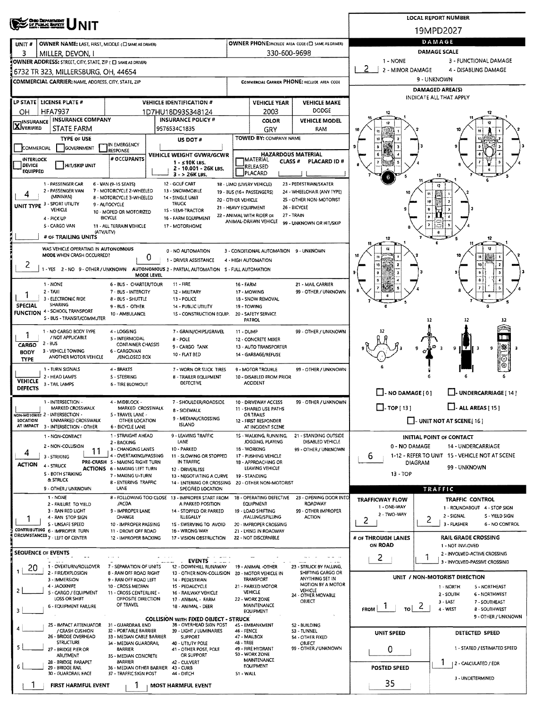| <b>OHO DEPARTMENT</b><br>OF PUBLIC BAFETY                                                                                                      |                      |                                                    |                                                       |                                                                             | <b>LOCAL REPORT NUMBER</b>                                           |  |  |  |  |
|------------------------------------------------------------------------------------------------------------------------------------------------|----------------------|----------------------------------------------------|-------------------------------------------------------|-----------------------------------------------------------------------------|----------------------------------------------------------------------|--|--|--|--|
|                                                                                                                                                |                      |                                                    |                                                       |                                                                             | 19MPD2027                                                            |  |  |  |  |
| OWNER NAME: LAST, FIRST, MIDDLE (C) SAME AS DRIVER)<br>UNIT#                                                                                   |                      |                                                    | OWNER PHONE:INCLUDE AREA CODE (C) SAME AS DRIVER)     |                                                                             | DAMAGE                                                               |  |  |  |  |
| з<br>MILLER, DEVON, I                                                                                                                          |                      | 330-600-9698                                       |                                                       | DAMAGE SCALE                                                                |                                                                      |  |  |  |  |
| OWNER ADDRESS: STREET, CITY, STATE, ZIP ( C) SAME AS DRIVER)                                                                                   |                      |                                                    |                                                       | 1 - NONE<br>3 - FUNCTIONAL DAMAGE<br>-2<br>2 - MINOR DAMAGE                 |                                                                      |  |  |  |  |
| 6732 TR 323, MILLERSBURG, OH, 44654                                                                                                            |                      |                                                    |                                                       | 4 - DISABLING DAMAGE<br>9 - UNKNOWN                                         |                                                                      |  |  |  |  |
| COMMERCIAL CARRIER: NAME, ADDRESS, CITY, STATE, ZIP                                                                                            |                      |                                                    | COMMERCIAL CARRIER PHONE: INCLUDE AREA CODE           |                                                                             | DAMAGED AREA(S)                                                      |  |  |  |  |
| LP STATE LICENSE PLATE #<br><b>VEHICLE IDENTIFICATION #</b>                                                                                    |                      |                                                    |                                                       |                                                                             | INDICATE ALL THAT APPLY                                              |  |  |  |  |
| <b>HFA7937</b><br>OН<br>1D7HU18D93S348124                                                                                                      |                      | <b>VEHICLE YEAR</b><br>2003                        | <b>VEHICLE MAKE</b><br><b>DODGE</b>                   | 12                                                                          |                                                                      |  |  |  |  |
| <b>INSURANCE COMPANY</b><br><b>INSURANCE POLICY #</b><br><b>TINSURANCE</b>                                                                     |                      | <b>COLOR</b>                                       | <b>VEHICLE MODEL</b>                                  |                                                                             |                                                                      |  |  |  |  |
| <b>AJVERIFIED</b><br><b>STATE FARM</b><br>9576534C1835                                                                                         |                      | GRY                                                | RAM                                                   |                                                                             |                                                                      |  |  |  |  |
| <b>TYPE OF USE</b><br>US DOT #<br><b>TIN EMERGENCY</b>                                                                                         |                      | <b>TOWED BY: COMPANY NAME</b>                      |                                                       |                                                                             |                                                                      |  |  |  |  |
| GOVERNMENT<br>COMMERCIAL<br><b>RESPONSE</b><br><b>VEHICLE WEIGHT GVWR/GCWR</b>                                                                 |                      | <b>HAZARDOUS MATERIAL</b>                          |                                                       |                                                                             |                                                                      |  |  |  |  |
| # OCCUPANTS<br>INTERLOCK<br>$1 - 510K$ LBS.<br><b>DEVICE</b><br><b>HIT/SKIP UNIT</b><br>2 - 10.001 - 26K LBS.                                  |                      | <b>TMATERIAL</b><br>CLASS <sup>#</sup><br>RELEASED | PLACARD ID#                                           |                                                                             |                                                                      |  |  |  |  |
| <b>EQUIPPED</b><br>$3 - 26K$ LBS.                                                                                                              |                      | PLACARD                                            |                                                       |                                                                             |                                                                      |  |  |  |  |
| 1 - PASSENGER CAR<br>12 - GOLF CART<br>6 - VAN (9-15 SEATS)<br>2 - PASSENGER VAN<br>13 - SNOWMOBILE                                            |                      | 18 - LIMO (LIVERY VEHICLE)                         | 23 - PEDESTRIAN/SKATER                                |                                                                             |                                                                      |  |  |  |  |
| 7 - MOTORCYCLE 2-WHEELED<br>4<br>(MINIVAN)<br>8 - MOTORCYCLE 3-WHEELED<br>14 - SINGLE UNIT                                                     | 20 - OTHER VEHICLE   | 19 - BUS (16 + PASSENGERS)                         | 24 - WHEELCHAIR (ANY TYPE)<br>25 - OTHER NON-MOTORIST |                                                                             |                                                                      |  |  |  |  |
| UNIT TYPE 3 - SPORT UTILITY<br>TRUCK<br>9 - AUTOCYCLE<br>VEHICLE<br>1S - SEMI-TRACTOR<br>10 - MOPED OR MOTORIZED                               | 21 - HEAVY EQUIPMENT |                                                    | 26 - BICYCLE                                          |                                                                             |                                                                      |  |  |  |  |
| <b>BICYCLE</b><br>16 - FARM EQUIPMENT<br>4 - PICK UP                                                                                           |                      | 22 - ANIMAL WITH RIDER OR<br>ANIMAL-DRAWN VEHICLE  | 27 - TRAIN<br>99 - UNKNOWN OR HIT/SKIP                |                                                                             |                                                                      |  |  |  |  |
| 5 - CARGO VAN<br>11 - ALL TERRAIN VEHICLE<br>17 - MOTORHOME<br>(ATV/UTV)                                                                       |                      |                                                    |                                                       |                                                                             |                                                                      |  |  |  |  |
| # OF TRAILING UNITS                                                                                                                            |                      |                                                    |                                                       | 12                                                                          | 12                                                                   |  |  |  |  |
| WAS VEHICLE OPERATING IN AUTONOMOUS<br>0 - NO AUTOMATION<br>MODE WHEN CRASH OCCURRED?                                                          |                      | 3 - CONDITIONAL AUTOMATION 9 - UNKNOWN             |                                                       |                                                                             |                                                                      |  |  |  |  |
| 0<br>1 - DRIVER ASSISTANCE<br>2                                                                                                                |                      | 4 - HIGH AUTOMATION                                |                                                       |                                                                             |                                                                      |  |  |  |  |
| 1 - YES 2 - NO 9 - OTHER / UNKNOWN<br>AUTONOMOUS 2 - PARTIAL AUTOMATION S - FULL AUTOMATION<br>MODE LEVEL                                      |                      |                                                    |                                                       |                                                                             |                                                                      |  |  |  |  |
| 1 - NONE<br>6 - BUS - CHARTER/TOUR<br>$11 - FIRE$                                                                                              | 16 - FARM            |                                                    | 21 - MAIL CARRIER                                     |                                                                             |                                                                      |  |  |  |  |
| $2 - TAXI$<br>7 - BUS - INTERCITY<br>12 - MILITARY<br>1<br>3 - ELECTRONIC RIDE<br>8 - BUS - SHUTTLE<br>13 - POLICE                             |                      | 17 - MOWING<br>18 - SNOW REMOVAL                   | 99 - OTHER / UNKNOWN                                  |                                                                             |                                                                      |  |  |  |  |
| SHARING<br>SPECIAL<br>9 - BUS - OTHER<br>14 - PUBLIC UTILITY<br>4 - SCHOOL TRANSPORT                                                           |                      | 19 - TOWING                                        |                                                       |                                                                             |                                                                      |  |  |  |  |
| <b>FUNCTION</b><br>10 - AMBULANCE<br>15 - CONSTRUCTION EQUIP.<br>S - BUS - TRANSIT/COMMUTER                                                    |                      | 20 - SAFETY SERVICE<br>PATROL                      |                                                       |                                                                             | 12                                                                   |  |  |  |  |
| 1 - NO CARGO BODY TYPE<br>4 - LOGGING<br>7 - GRAIN/CHIPS/GRAVEL                                                                                | 11 - DUMP            |                                                    | 99 - OTHER / UNKNOWN                                  |                                                                             |                                                                      |  |  |  |  |
| / NOT APPLICABLE<br>5 - INTERMODAL<br><b>B-POLE</b><br>2 - BUS<br><b>CONTAINER CHASSIS</b>                                                     |                      | 12 - CONCRETE MIXER                                |                                                       |                                                                             |                                                                      |  |  |  |  |
| <b>CARGO</b><br>9 - CARGO TANK<br>3 - VEHICLE TOWING<br>6 - CARGOVAN<br>BODY<br>10 - FLAT BED                                                  |                      | 13 - AUTO TRANSPORTER<br>14 - GARBAGE/REFUSE       |                                                       |                                                                             | 彩 <br>9<br>9<br>-3                                                   |  |  |  |  |
| ANOTHER MOTOR VEHICLE<br>/ENCLOSED BOX<br><b>TYPE</b>                                                                                          |                      |                                                    |                                                       |                                                                             | Θ                                                                    |  |  |  |  |
| 1 - TURN SIGNALS<br>4 - BRAKES<br>7 - WORN OR SLICK TIRES<br>2 - HEAD LAMPS<br><b>B - TRAILER EQUIPMENT</b><br><b>S-STEERING</b>               |                      | 9 - MOTOR TROUBLE<br>10 - DISABLED FROM PRIOR      | 99 - OTHER / UNKNOWN                                  |                                                                             |                                                                      |  |  |  |  |
| <b>VEHICLE</b><br><b>DEFECTIVE</b><br>3 - TAIL LAMPS<br><b>6 - TIRE BLOWOUT</b><br><b>DEFECTS</b>                                              |                      | <b>ACCIDENT</b>                                    |                                                       |                                                                             |                                                                      |  |  |  |  |
|                                                                                                                                                |                      |                                                    |                                                       | $\Box$ - NO DAMAGE [ 0 ]                                                    | I-UNDERCARRIAGE [14]                                                 |  |  |  |  |
| 1 - INTERSECTION -<br>4 - MIDBLOCK -<br>7 - SHOULDER/ROADSIDE<br>MARKED CROSSWALK<br>MARKED CROSSWALK<br><b>B - SIDEWALK</b>                   |                      | 10 - DRIVEWAY ACCESS<br>11 - SHARED USE PATHS      | 99 - OTHER / UNKNOWN                                  | $\square$ - TOP [ 13 ]                                                      | $\Box$ - ALL AREAS [ 15 ]                                            |  |  |  |  |
| NON-MOTORIST 2 - INTERSECTION -<br>5 - TRAVEL LANE -<br>9 - MEDIAN/CROSSING<br>LOCATION<br>UNMARKED CROSSWALK<br>OTHER LOCATION                |                      | <b>OR TRAILS</b><br>12 - FIRST RESPONDER           |                                                       |                                                                             | $\Box$ - UNIT NOT AT SCENE [16]                                      |  |  |  |  |
| <b>ISLAND</b><br>AT IMPACT 3 - INTERSECTION - OTHER<br>6 - BICYCLE LANE                                                                        |                      | AT INCIDENT SCENE                                  |                                                       |                                                                             |                                                                      |  |  |  |  |
| 1 - STRAIGHT AHEAD<br>9 - LEAVING TRAFFIC<br>1 - NON-CONTACT<br>LANE<br>2 - BACKING                                                            |                      | 15 - WALKING, RUNNING,<br>JOGGING, PLAYING         | 21 - STANDING OUTSIDE<br>DISABLED VEHICLE             |                                                                             | INITIAL POINT OF CONTACT                                             |  |  |  |  |
| 2 - NON-COLLISION<br>3 - CHANGING LANES<br>10 - PARKED<br>11<br>4<br>11 - SLOWING OR STOPPED                                                   |                      | 16 - WORKING<br>17 - PUSHING VEHICLE               | 99 - OTHER / UNKNOWN                                  | 0 - NO DAMAGE                                                               | 14 - UNDERCARRIAGE<br>1-12 - REFER TO UNIT 15 - VEHICLE NOT AT SCENE |  |  |  |  |
| 4 - OVERTAKING/PASSING<br>3 - STRIKING<br>PRE-CRASH 5 - MAKING RIGHT TURN<br>IN TRAFFIC<br><b>ACTION</b><br>4 - STRUCK                         |                      | 18 - APPROACHING OR                                |                                                       | 6<br><b>DIAGRAM</b>                                                         |                                                                      |  |  |  |  |
| <b>ACTIONS 6 - MAKING LEFT TURN</b><br><b>12 - DRIVERLESS</b><br><b>S - BOTH STRIKING</b><br>7 - MAKING U-TURN<br>13 - NEGOTIATING A CURVE     |                      | LEAVING VEHICLE<br>19 - STANDING                   |                                                       | $13 - TOP$                                                                  | 99 UNKNOWN                                                           |  |  |  |  |
| & STRUCK<br><b>8 - ENTERING TRAFFIC</b><br>14 - ENTERING OR CROSSING<br>9 - OTHER / UNKNOWN<br>LANE<br>SPECIFIED LOCATION                      |                      | 20 - OTHER NON-MOTORIST                            |                                                       |                                                                             | TRAFFIC                                                              |  |  |  |  |
| 1 - NONE<br>8 - FOLLOWING TOO CLOSE 13 - IMPROPER START FROM                                                                                   |                      | 18 - OPERATING DEFECTIVE                           | 23 - OPENING DOOR INTO                                | <b>TRAFFICWAY FLOW</b>                                                      | TRAFFIC CONTROL                                                      |  |  |  |  |
| /ACDA<br>A PARKED POSITION<br>2 - FAILURE TO YIELD<br>9 - IMPROPER LANE<br>3 - RAN RED LIGHT<br>14 - STOPPED OR PARKED                         |                      | EQUIPMENT<br>19 - LOAD SHIFTING                    | <b>ROADWAY</b><br>99 - OTHER IMPROPER                 | 1 - ONE-WAY                                                                 | 1 - ROUNDABOUT 4 - STOP SIGN                                         |  |  |  |  |
| CHANGE<br><b>ILLEGALLY</b><br>4 - RAN STOP SIGN                                                                                                |                      | /FALLING/SPILLING                                  | <b>ACTION</b>                                         | 2 - TWO-WAY<br>2                                                            | 2 - SIGNAL<br>S - YIELD SIGN<br>2                                    |  |  |  |  |
| 5 - UNSAFE SPEED<br>10 - IMPROPER PASSING<br>15 - SWERVING TO AVOID<br>CONTRIBUTING 6 - IMPROPER TURN<br>11 - DROVE OFF ROAD<br>16 - WRONG WAY |                      | 20 - IMPROPER CROSSING<br>21 - LYING IN ROADWAY    |                                                       |                                                                             | 3 - FLASHER<br>6 - NO CONTROL                                        |  |  |  |  |
| GRCUMSTANCES 7 - LEFT OF CENTER<br>12 - IMPROPER BACKING<br>17 - VISION OBSTRUCTION                                                            |                      | 22 - NOT DISCERNIBLE                               |                                                       | # OF THROUGH LANES                                                          | <b>RAIL GRADE CROSSING</b>                                           |  |  |  |  |
| SEQUENCE OF EVENTS                                                                                                                             |                      |                                                    |                                                       | ON ROAD                                                                     | 1 - NOT INVLOVED<br>2 - INVOLVED-ACTIVE CROSSING                     |  |  |  |  |
| $\alpha \rightarrow \alpha \rightarrow \alpha$<br><b>EVENTS</b><br>1 - OVERTURN/ROLLOVER<br>7 - SEPARATION OF UNITS<br>12 - DOWNHILL RUNAWAY   |                      | 19 - ANIMAL -OTHER                                 | 23 - STRUCK BY FALLING,                               | 2                                                                           | 1<br>3 - INVOLVED-PASSIVE CROSSING                                   |  |  |  |  |
| 20<br>2 - FIRE/EXPLOSION<br><b>8 - RAN OFF ROAD RIGHT</b><br>13 - OTHER NON-COLLISION 20 - MOTOR VEHICLE IN                                    |                      |                                                    | SHIFTING CARGO OR                                     |                                                                             | UNIT / NON-MOTORIST DIRECTION                                        |  |  |  |  |
| 3 - IMMERSION<br>9 - RAN OFF ROAD LEFT<br>14 - PEDESTRIAN<br>4 - JACKKNIFE<br>10 - CROSS MEDIAN<br>15 - PEDALCYCLE                             |                      | <b>TRANSPORT</b><br>21 - PARKED MOTOR              | ANYTHING SET IN<br>MOTION BY A MOTOR                  |                                                                             | 1 - NORTH<br>5 - NORTHEAST                                           |  |  |  |  |
| 5 - CARGO / EQUIPMENT<br>11 - CROSS CENTERLINE -<br>16 - RAILWAY VEHICLE<br>LOSS OR SHIFT<br>OPPOSITE DIRECTION<br>17 - ANIMAL - FARM          |                      | VEHICLE<br>22 - WORK ZONE                          | <b>VEHICLE</b><br>24 - OTHER MOVABLE                  |                                                                             | 2 - SOUTH<br><b>6 - NORTHWEST</b>                                    |  |  |  |  |
| OF TRAVEL<br><b>6 - EQUIPMENT FAILURE</b><br>18 - ANIMAL - DEER<br>з                                                                           |                      | MAINTENANCE                                        | OBJECT                                                | $\frac{1}{10}$ 2<br>$F_{\text{ROM}}$ $\begin{bmatrix} 1 \\ 1 \end{bmatrix}$ | 3 - EAST<br>7 - SOUTHEAST<br>4 - WEST<br><b>8 - SOUTHWEST</b>        |  |  |  |  |
| <b>COLLISION WITH FIXED OBJECT - STRUCK</b>                                                                                                    |                      | <b>EQUIPMENT</b>                                   |                                                       |                                                                             | 9 - OTHER / UNKNOWN                                                  |  |  |  |  |
| 25 - IMPACT ATTENUATOR<br>31 - GUARDRAIL END<br>38 - OVERHEAD SIGN POST<br>/ CRASH CUSHION<br>32 - PORTABLE BARRIER<br>39 - LIGHT / LUMINARIES | 46 - FENCE           | 45 - EMBANKMENT                                    | <b>S2 - BUILDING</b><br>53 - TUNNEL                   |                                                                             |                                                                      |  |  |  |  |
| 26 - BRIDGE OVERHEAD<br>33 - MEDIAN CABLE BARRIER<br>SUPPORT<br><b>STRUCTURE</b><br>34 - MEDIAN GUARDRAIL<br>40 - UTIUTY POLE                  | 48 - TREE            | 47 - MAILBOX                                       | 54 - OTHER FIXED<br><b>OBJECT</b>                     | UNIT SPEED                                                                  | DETECTED SPEED                                                       |  |  |  |  |
| 27 - BRIDGE PIER OR<br>41 - OTHER POST, POLE<br><b>BARRIER</b>                                                                                 |                      | 49 - FIRE HYDRANT                                  | 99 - OTHER / UNKNOWN                                  | 0                                                                           | 1 - STATED / ESTIMATED SPEED                                         |  |  |  |  |
| OR SUPPORT<br><b>ABUTMENT</b><br>35 - MEDIAN CONCRETE<br>28 - BRIDGE PARAPET<br><b>BARRIER</b><br>42 - CULVERT                                 |                      | <b>SO - WORK ZONE</b><br><b>MAINTENANCE</b>        |                                                       |                                                                             | -1<br>  2 - CALCULATED / EDR                                         |  |  |  |  |
| 6<br>29 - BRIDGE RAIL<br>36 - MEDIAN OTHER BARRIER 43 - CURB<br>30 - GUARDRAIL FACE<br>37 - TRAFFIC SIGN POST<br>44 - DITCH                    | 51 - WALL            | EQUIPMENT                                          |                                                       | <b>POSTED SPEED</b>                                                         |                                                                      |  |  |  |  |
| FIRST HARMFUL EVENT<br><b>MOST HARMFUL EVENT</b>                                                                                               |                      |                                                    |                                                       | 35                                                                          | 3 - UNDETERMINED                                                     |  |  |  |  |
|                                                                                                                                                |                      |                                                    |                                                       |                                                                             |                                                                      |  |  |  |  |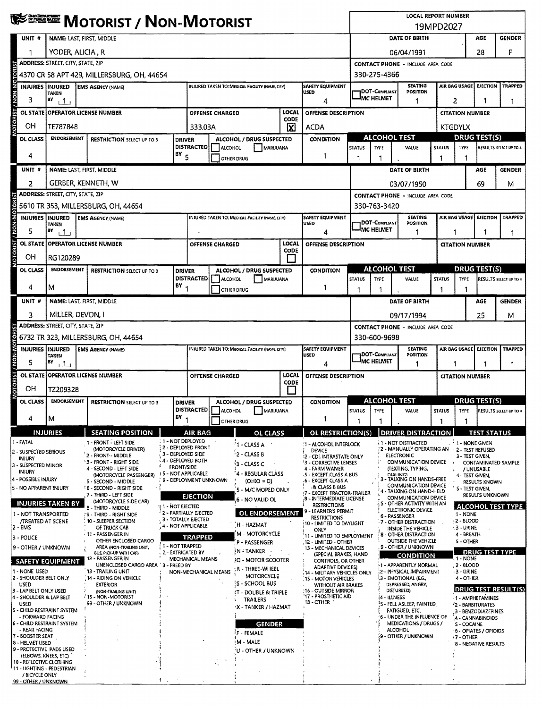|                                                     | <b>WE SHEWE MOTORIST / NON-MOTORIST</b>                                         |                                                               |                         |                                                                                           |                                                                                 |                                                    |                                              |                                                         |                                                                                                                                 | <b>LOCAL REPORT NUMBER</b><br>19MPD2027                              |                                                                   |                                                         |                                     |                            |                            |  |
|-----------------------------------------------------|---------------------------------------------------------------------------------|---------------------------------------------------------------|-------------------------|-------------------------------------------------------------------------------------------|---------------------------------------------------------------------------------|----------------------------------------------------|----------------------------------------------|---------------------------------------------------------|---------------------------------------------------------------------------------------------------------------------------------|----------------------------------------------------------------------|-------------------------------------------------------------------|---------------------------------------------------------|-------------------------------------|----------------------------|----------------------------|--|
| UNIT <sub>#</sub>                                   | NAME: LAST, FIRST, MIDDLE                                                       |                                                               |                         |                                                                                           |                                                                                 |                                                    |                                              |                                                         |                                                                                                                                 | DATE OF BIRTH<br><b>AGE</b><br><b>GENDER</b>                         |                                                                   |                                                         |                                     |                            |                            |  |
|                                                     |                                                                                 | YODER, ALICIA, R                                              |                         |                                                                                           |                                                                                 |                                                    |                                              |                                                         |                                                                                                                                 |                                                                      |                                                                   | 06/04/1991                                              |                                     |                            |                            |  |
|                                                     | <b>ADDRESS: STREET, CITY, STATE, ZIP</b>                                        |                                                               |                         | F<br>28<br><b>CONTACT PHONE - INCLUDE AREA CODE</b>                                       |                                                                                 |                                                    |                                              |                                                         |                                                                                                                                 |                                                                      |                                                                   |                                                         |                                     |                            |                            |  |
|                                                     | 330-275-4366<br>4370 CR 58 APT 429, MILLERSBURG, OH, 44654                      |                                                               |                         |                                                                                           |                                                                                 |                                                    |                                              |                                                         |                                                                                                                                 |                                                                      |                                                                   |                                                         |                                     |                            |                            |  |
| <b>MOTORIST / NON-MO</b><br><b>INJURIES INJURED</b> | TAKEN                                                                           | <b>EMS AGENCY (NAME)</b>                                      |                         |                                                                                           |                                                                                 | INJURED TAKEN TO: MEDICAL FACILITY (NAME, CITY)    |                                              | <b>SAFETY EQUIPMENT</b><br><b>USED</b>                  |                                                                                                                                 | <b>DOT-COMPLIANT</b>                                                 | <b>SEATING</b><br>POSITION                                        |                                                         | AIR BAG USAGE                       | <b>EJECTION</b>            | <b>TRAPPED</b>             |  |
| 3                                                   | в٧<br>$+1+$                                                                     |                                                               |                         |                                                                                           |                                                                                 |                                                    |                                              | 4                                                       |                                                                                                                                 | IMC HELMET                                                           | -1                                                                |                                                         | 2<br>1                              |                            |                            |  |
| <b>OL STATE</b>                                     |                                                                                 | <b>OPERATOR LICENSE NUMBER</b>                                |                         |                                                                                           | <b>OFFENSE CHARGED</b>                                                          |                                                    | LOCAL<br>CODE                                | OFFENSE DESCRIPTION                                     |                                                                                                                                 |                                                                      |                                                                   |                                                         | <b>CITATION NUMBER</b>              |                            |                            |  |
| ΟH                                                  | TE787848                                                                        |                                                               |                         | 333.03A                                                                                   |                                                                                 |                                                    | M                                            | <b>ACDA</b>                                             |                                                                                                                                 |                                                                      |                                                                   |                                                         | KTGDYLX                             |                            |                            |  |
| OL CLASS                                            | <b>ENDORSEMENT</b>                                                              | <b>RESTRICTION SELECT UP TO 3</b>                             |                         | <b>DRIVER</b>                                                                             |                                                                                 | ALCOHOL / DRUG SUSPECTED                           |                                              | <b>CONDITION</b>                                        |                                                                                                                                 | <b>ALCOHOL TEST</b>                                                  |                                                                   | <b>DRUG TEST(S)</b>                                     |                                     |                            |                            |  |
| 4                                                   |                                                                                 |                                                               | $18Y$ 5                 | <b>DISTRACTED</b>                                                                         | <b>ALCOHOL</b>                                                                  | MARIJUANA<br>OTHER DRUG                            |                                              | 1                                                       | <b>STATUS</b>                                                                                                                   | <b>TYPE</b>                                                          | VALUE                                                             | <b>STATUS</b><br>1                                      | TYPE                                |                            | RESULTS SELECT UP TO 4     |  |
| UNIT#                                               | NAME: LAST, FIRST, MIDDLE                                                       |                                                               |                         |                                                                                           |                                                                                 |                                                    |                                              |                                                         |                                                                                                                                 |                                                                      | DATE OF BIRTH                                                     |                                                         |                                     | AGE                        | <b>GENDER</b>              |  |
| 2                                                   | GERBER, KENNETH, W                                                              |                                                               |                         |                                                                                           |                                                                                 |                                                    |                                              |                                                         |                                                                                                                                 |                                                                      | 03/07/1950                                                        |                                                         |                                     | 69                         |                            |  |
|                                                     | <b>ADDRESS: STREET, CITY, STATE, ZIP</b>                                        |                                                               |                         |                                                                                           |                                                                                 |                                                    |                                              |                                                         |                                                                                                                                 |                                                                      | <b>CONTACT PHONE - INCLUDE AREA CODE</b>                          |                                                         |                                     |                            | Μ                          |  |
|                                                     |                                                                                 | 5610 TR 353, MILLERSBURG, OH, 44654                           |                         |                                                                                           |                                                                                 |                                                    |                                              |                                                         |                                                                                                                                 | 330-763-3420                                                         |                                                                   |                                                         |                                     |                            |                            |  |
| NON-MO<br>INJURIES INJURED                          |                                                                                 | <b>EMS AGENCY (NAME)</b>                                      |                         |                                                                                           |                                                                                 | INJURED TAKEN TO: MEDICAL FACILITY (NAME, CITY)    |                                              | <b>SAFETY EQUIPMENT</b>                                 |                                                                                                                                 | <b>IDOT-COMPLIANT</b>                                                | <b>SEATING</b>                                                    |                                                         | AIR BAG USAGE EJECTION              |                            | <b>TRAPPED</b>             |  |
| 5                                                   | <b>TAKEN</b><br>BY<br>ا 1                                                       |                                                               |                         |                                                                                           |                                                                                 |                                                    |                                              | USED<br>4                                               |                                                                                                                                 | IMC HELMET                                                           | <b>POSITION</b><br>1                                              | 1                                                       |                                     | 1                          | 1                          |  |
|                                                     | OL STATE OPERATOR LICENSE NUMBER                                                |                                                               |                         |                                                                                           | <b>OFFENSE CHARGED</b>                                                          |                                                    | LOCAL                                        | OFFENSE DESCRIPTION                                     |                                                                                                                                 |                                                                      |                                                                   |                                                         | <b>CITATION NUMBER</b>              |                            |                            |  |
| MOTORIST<br>ОH                                      | RG120289                                                                        |                                                               |                         |                                                                                           |                                                                                 |                                                    | <b>CODE</b>                                  |                                                         |                                                                                                                                 |                                                                      |                                                                   |                                                         |                                     |                            |                            |  |
| OL CLASS                                            | <b>ENDORSEMENT</b>                                                              | <b>RESTRICTION SELECT UP TO 3</b>                             |                         | <b>DRIVER</b>                                                                             |                                                                                 | ALCOHOL / DRUG SUSPECTED                           |                                              | <b>CONDITION</b>                                        |                                                                                                                                 | <b>ALCOHOL TEST</b>                                                  |                                                                   |                                                         | <b>DRUG TEST(S)</b>                 |                            |                            |  |
|                                                     |                                                                                 |                                                               | $BY_{1}$                | <b>DISTRACTED</b>                                                                         | ALCOHOL                                                                         | MARIJUANA                                          |                                              |                                                         | <b>STATUS</b>                                                                                                                   | <b>TYPE</b>                                                          | VALUE                                                             | <b>STATUS</b>                                           | <b>TYPE</b>                         |                            | RESULTS SELECT UP TO 4     |  |
| 4                                                   | м                                                                               |                                                               |                         |                                                                                           |                                                                                 | OTHER DRUG                                         |                                              | 1                                                       | 1                                                                                                                               | -1                                                                   |                                                                   | 1                                                       | 1                                   |                            |                            |  |
| UNIT #                                              | NAME: LAST, FIRST, MIDDLE                                                       |                                                               |                         |                                                                                           |                                                                                 |                                                    |                                              |                                                         |                                                                                                                                 |                                                                      | DATE OF BIRTH                                                     |                                                         |                                     | AGE                        | <b>GENDER</b>              |  |
| 3                                                   | MILLER, DEVON, I                                                                |                                                               |                         |                                                                                           |                                                                                 |                                                    |                                              |                                                         |                                                                                                                                 |                                                                      | 09/17/1994                                                        |                                                         |                                     | 25                         | м                          |  |
|                                                     | <b>ADDRESS: STREET, CITY, STATE, ZIP</b><br>6732 TR 323, MILLERSBURG, OH, 44654 |                                                               |                         |                                                                                           |                                                                                 |                                                    |                                              |                                                         |                                                                                                                                 |                                                                      | <b>CONTACT PHONE - INCLUDE AREA CODE</b>                          |                                                         |                                     |                            |                            |  |
| <b>INJURIES IINJURED</b>                            |                                                                                 | <b>EMS AGENCY (NAME)</b>                                      |                         |                                                                                           |                                                                                 | INJURED TAKEN TO: MEDICAL FACILITY (NAME, CITY)    |                                              | SAFETY EQUIPMENT                                        | 330-600-9698<br>AIR BAG USAGE<br>EJECTION<br><b>SEATING</b><br><b>TRAPPED</b>                                                   |                                                                      |                                                                   |                                                         |                                     |                            |                            |  |
| <b>DIN-NON</b><br>5                                 | <b>TAKEN</b><br>ВΥ<br>111                                                       |                                                               |                         |                                                                                           |                                                                                 | USED<br>4                                          |                                              |                                                         |                                                                                                                                 |                                                                      | <b>IDOT-COMPLIANT</b><br>POSITION<br>IMC HELMET<br>1              |                                                         |                                     | 1                          | 1                          |  |
| OL STATE                                            |                                                                                 | <b>OPERATOR LICENSE NUMBER</b>                                |                         | LOCAL<br>OFFENSE CHARGED<br><b>OFFENSE DESCRIPTION</b>                                    |                                                                                 |                                                    |                                              |                                                         |                                                                                                                                 |                                                                      |                                                                   |                                                         | 1<br><b>CITATION NUMBER</b>         |                            |                            |  |
| MOTORIST<br>OН                                      | TZ209328                                                                        |                                                               |                         | <b>CODE</b>                                                                               |                                                                                 |                                                    |                                              |                                                         |                                                                                                                                 |                                                                      |                                                                   |                                                         |                                     |                            |                            |  |
| OL CLASS                                            | <b>ENDORSEMENT</b>                                                              | <b>RESTRICTION SELECT UP TO 3</b>                             | <b>DRIVER</b>           |                                                                                           |                                                                                 | ALCOHOL / DRUG SUSPECTED                           |                                              | <b>CONDITION</b>                                        | <b>ALCOHOL TEST</b>                                                                                                             |                                                                      |                                                                   |                                                         | <b>DRUG TEST(S)</b>                 |                            |                            |  |
|                                                     |                                                                                 |                                                               | BY                      | ALCOHOL MARUUANA<br><b>DISTRACTED</b>                                                     |                                                                                 |                                                    |                                              | TYPE<br><b>STATUS</b>                                   |                                                                                                                                 | <b>STATUS</b><br>VALUE                                               |                                                                   | <b>TYPE</b>                                             |                                     | RESULTS SELECT UP TO 4     |                            |  |
| 4                                                   | M                                                                               |                                                               |                         |                                                                                           |                                                                                 | OTHER DRUG                                         |                                              | 1                                                       |                                                                                                                                 |                                                                      |                                                                   |                                                         |                                     |                            |                            |  |
| 1 - FATAL                                           | <b>INJURIES</b>                                                                 | <b>SEATING POSITION</b><br>1 - FRONT - LEFT SIDE              | : 1 - NOT DEPLOYED      | AIR BAG                                                                                   |                                                                                 | <b>OL CLASS</b>                                    |                                              | OL RESTRICTION(S)<br>:1 - ALCOHOL INTERLOCK             |                                                                                                                                 |                                                                      | <b>DRIVER DISTRACTION</b><br><b>i1 - NOT DISTRACTED</b>           |                                                         | $\frac{1}{2}$ 1 - NONE GIVEN        | <b>TEST STATUS</b>         |                            |  |
| 2 - SUSPECTED SERIOUS                               |                                                                                 | (MOTORCYCLE DRIVER)<br>2 - FRONT - MIDDLE                     | 3 - DEPLOYED SIDE       | 2 - DEPLOYED FRONT                                                                        |                                                                                 | <sup>7</sup> 1 - CLASS A<br>'2 - CLASS B           |                                              | <b>DEVICE</b><br>2 - CDL INTRASTATE ONLY                |                                                                                                                                 |                                                                      | 2 - MANUALLY OPERATING AN + 2 - TEST REFUSED<br><b>ELECTRONIC</b> |                                                         | 3 - TEST GIVEN,                     |                            |                            |  |
| <b>INJURY</b><br>3 - SUSPECTED MINOR                |                                                                                 | '3 - FRONT - RIGHT SIDE<br>4 - SECOND - LEFT SIDE             | <b>FRONT/SIDE</b>       | 4 - DEPLOYED BOTH                                                                         |                                                                                 | $3 - CLASSC$                                       |                                              | 3 - CORRECTIVE LENSES<br>4 - FARM WAIVER                |                                                                                                                                 |                                                                      | COMMUNICATION DEVICE<br>(TEXTING, TYPING,                         |                                                         |                                     | / UNUSABLE                 | <b>CONTAMINATED SAMPLE</b> |  |
| <b>INJURY</b><br>4 - POSSIBLE INJURY                |                                                                                 | (MOTORCYCLE PASSENGER)<br>S - SECOND - MIDDLE                 |                         | <b>15 - NOT APPLICABLE</b><br>4 - REGULAR CLASS<br>9 - DEPLOYMENT UNKNOWN<br>$(OHIO = D)$ |                                                                                 |                                                    |                                              |                                                         | 5 - EXCEPT CLASS A BUS<br>.6 - EXCEPT CLASS A                                                                                   |                                                                      |                                                                   | 3 - TALKING ON HANDS-FREE                               | 4 - TEST GIVEN.<br>RESULTS KNOWN    |                            |                            |  |
| S - NO APPARENT INJURY                              |                                                                                 | <sup>1</sup> 6 - SECOND - RIGHT SIDE<br>7 - THIRD - LEFT SIDE |                         |                                                                                           |                                                                                 | 5 - M/C MOPED ONLY                                 | & CLASS B BUS<br>17 - EXCEPT TRACTOR-TRAILER |                                                         | <b>COMMUNICATION DEVICE</b><br>4 - TALKING ON HAND-HELD<br>COMMUNICATION DEVICE                                                 |                                                                      |                                                                   | S - TEST GIVEN,<br>RESULTS UNKNOWN                      |                                     |                            |                            |  |
|                                                     | <b>INJURIES TAKEN BY</b>                                                        | (MOTORCYCLE SIDE CAR)<br>8 - THIRD - MIDDLE                   | <b>11 - NOT EIECTED</b> | <b>EJECTION</b>                                                                           |                                                                                 | 6 - NO VALID OL                                    |                                              | 8 - INTERMEDIATE LICENSE<br><b>RESTRICTIONS</b>         | ે S - OTHER ACTIVITY WITH AN                                                                                                    |                                                                      | <b>ALCOHOL TEST TYPE</b>                                          |                                                         |                                     |                            |                            |  |
| 1 - NOT TRANSPORTED<br><b>/TREATED AT SCENE</b>     |                                                                                 | : 9 - THIRD - RIGHT SIDE<br>10 - SLEEPER SECTION              |                         | 2 - PARTIALLY EJECTED<br>3 - TOTALLY EJECTED                                              |                                                                                 | OL ENDORSEMENT                                     |                                              | - LEARNER'S PERMIT<br>9<br><b>RESTRICTIONS</b>          |                                                                                                                                 | <b>ELECTRONIC DEVICE</b><br>6 - PASSENGER                            |                                                                   |                                                         | 1 - NONE<br><b>12 - 8LOOD</b>       |                            |                            |  |
| 2 - EMS                                             |                                                                                 | OF TRUCK CAB<br>· 11 - PASSENGER IN                           |                         | 4 - NOT APPLICABLE                                                                        | <b>10 - LIMITED TO DAYLIGHT</b><br>`H - HAZMAT<br>ONLY<br><b>M - MOTORCYCLE</b> |                                                    |                                              |                                                         |                                                                                                                                 | 7 - OTHER DISTRACTION<br>INSIDE THE VEHICLE<br>8 - OTHER DISTRACTION |                                                                   |                                                         |                                     | $-3 - URINE$<br>4 - BREATH |                            |  |
| 3 - POLICE<br>9 - OTHER / UNKNOWN                   |                                                                                 | OTHER ENCLOSED CARGO<br>AREA (NON-TRAILING LINIT,             | 1 - NOT TRAPPED         | <b>TRAPPED</b>                                                                            |                                                                                 | P - PASSENGER                                      |                                              | 11 - LIMITED TO EMPLOYMENT<br>12 - LIMITED - OTHER      | <b>OUTSIDE THE VEHICLE</b><br>5-OTHER                                                                                           |                                                                      |                                                                   |                                                         |                                     |                            |                            |  |
|                                                     | <b>SAFETY EQUIPMENT</b>                                                         | BUS, PICK-UP WITH CAP)<br>12 - PASSENGER IN                   | 2 - EXTRICATED BY       | MECHANICAL MEANS                                                                          |                                                                                 | EN - TANKER<br><b>JQ - MOTOR SCOOTER</b>           |                                              |                                                         | , 9 - OTHER / UNKNOWN<br>13 - MECHANICAL DEVICES<br>(SPECIAL BRAKES, HAND<br><b>CONDITION</b><br>1 - NONE<br>CONTROLS, OR OTHER |                                                                      |                                                                   |                                                         |                                     |                            | <b>DRUG TEST TYPE</b>      |  |
| 1 - NONE USED                                       |                                                                                 | UNENCLOSED CARGO AREA 3 - FREED BY<br>13 - TRAILING UNIT      |                         | NON-MECHANICAL MEANS                                                                      |                                                                                 | : R - THREE-WHEEL                                  |                                              | <b>ADAPTIVE DEVICES:</b><br>14 - MILITARY VEHICLES ONLY |                                                                                                                                 |                                                                      | <b>11 - APPARENTLY NORMAL</b><br>2 - PHYSICAL IMPAIRMENT          |                                                         | $2 - 8$ LOOD<br><b>3 - LIRINE</b>   |                            |                            |  |
| 2 - SHOULDER BELT ONLY<br>USED                      |                                                                                 | 14 - RIDING ON VEHICLE<br><b>EXTERIOR</b>                     |                         |                                                                                           |                                                                                 | MOTORCYCLE<br>S - SCHOOL BUS!                      |                                              | 15 - MOTOR VEHICLES<br>WITHOUT AIR BRAKES               |                                                                                                                                 | 3 - EMOTIONAL (E.G.,<br>DEPRESSED, ANGRY,                            |                                                                   |                                                         | 4 - OTHER                           |                            |                            |  |
| 3 - LAP BELT ONLY USED<br>4 - SHOULDER & LAP BELT   |                                                                                 | (NON-TRAILING UNIT)<br><b>15 - NON-MOTORIST</b>               |                         |                                                                                           |                                                                                 | <b>IT - DOUBLE &amp; TRIPLE</b><br><b>TRAILERS</b> |                                              | :16 - OUTSIDE MIRROR<br>17 - PROSTHETIC AID             |                                                                                                                                 | DISTURBED)<br>i4 - ILLNESS                                           |                                                                   | <b>DRUG TEST RESULT(S)</b><br>-1 - AMPHETAMINES         |                                     |                            |                            |  |
| <b>USED</b><br>5 - CHILD RESTRAINT SYSTEM           |                                                                                 | 99 - OTHER / UNKNOWN                                          |                         |                                                                                           |                                                                                 | ·X - TANKER / HAZMAT                               |                                              | 18 - OTHER                                              |                                                                                                                                 | S - FELL ASLEEP, FAINTED,<br>FATIGUED, ETC.                          |                                                                   | 2 - BARBITURATES                                        |                                     |                            |                            |  |
| - FORWARD FACING<br>6 - CHILD RESTRAINT SYSTEM      |                                                                                 |                                                               |                         |                                                                                           |                                                                                 | <b>GENDER</b>                                      |                                              |                                                         |                                                                                                                                 | '6 - LINDER THE INFLUENCE OF                                         | MEDICATIONS / DRUGS /                                             | ,3 - BENZODIAZEPINES<br>4 - CANNABINOIDS<br>S - COCAINE |                                     |                            |                            |  |
| - REAR FACING<br>7 - BOOSTER SEAT                   |                                                                                 |                                                               |                         |                                                                                           |                                                                                 | IF - FEMALE                                        |                                              |                                                         |                                                                                                                                 |                                                                      | <b>ALCOHOL</b><br>9 - OTHER / UNKNOWN                             |                                                         | 6 - OPIATES / OPIOIDS<br>17 - OTHER |                            |                            |  |
| 8 - HELMET LISED<br>9 - PROTECTIVE PADS USED        |                                                                                 |                                                               |                         |                                                                                           |                                                                                 | M - MALE<br>U - OTHER / UNKNOWN                    |                                              |                                                         |                                                                                                                                 |                                                                      |                                                                   |                                                         | <b>B - NEGATIVE RESULTS</b>         |                            |                            |  |
| (ELBOWS, KNEES, ETC)<br>10 - REFLECTIVE CLOTHING    |                                                                                 |                                                               |                         |                                                                                           |                                                                                 |                                                    |                                              |                                                         |                                                                                                                                 |                                                                      |                                                                   |                                                         |                                     |                            |                            |  |
| 11 - LIGHTING - PEDESTRIAN<br>/ BICYCLE ONLY        |                                                                                 |                                                               |                         |                                                                                           |                                                                                 |                                                    |                                              |                                                         |                                                                                                                                 |                                                                      |                                                                   |                                                         |                                     |                            |                            |  |
| 99 - OTHER / UNKNOWN                                |                                                                                 |                                                               |                         |                                                                                           |                                                                                 |                                                    |                                              |                                                         |                                                                                                                                 |                                                                      |                                                                   |                                                         |                                     |                            |                            |  |